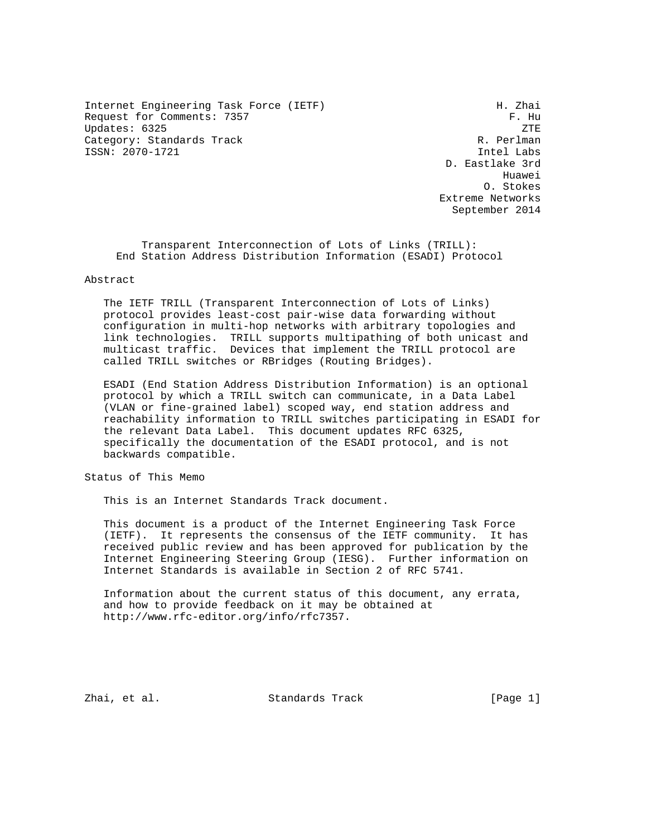Internet Engineering Task Force (IETF) The Control of H. Zhai Request for Comments: 7357 F. Hu Updates: 6325 ZTE Category: Standards Track R. Perlman (R. Perlman (R. Perlman (R. Perlman (R. Perlman (R. Perlman (R. Perlman (R<br>R. Perlman (R. Perlman (R. Perlman (R. Perlman (R. Perlman (R. Perlman (R. Perlman (R. Perlman (R. Perlman (R. ISSN: 2070-1721

 D. Eastlake 3rd Huawei O. Stokes Extreme Networks September 2014

 Transparent Interconnection of Lots of Links (TRILL): End Station Address Distribution Information (ESADI) Protocol

#### Abstract

 The IETF TRILL (Transparent Interconnection of Lots of Links) protocol provides least-cost pair-wise data forwarding without configuration in multi-hop networks with arbitrary topologies and link technologies. TRILL supports multipathing of both unicast and multicast traffic. Devices that implement the TRILL protocol are called TRILL switches or RBridges (Routing Bridges).

 ESADI (End Station Address Distribution Information) is an optional protocol by which a TRILL switch can communicate, in a Data Label (VLAN or fine-grained label) scoped way, end station address and reachability information to TRILL switches participating in ESADI for the relevant Data Label. This document updates RFC 6325, specifically the documentation of the ESADI protocol, and is not backwards compatible.

Status of This Memo

This is an Internet Standards Track document.

 This document is a product of the Internet Engineering Task Force (IETF). It represents the consensus of the IETF community. It has received public review and has been approved for publication by the Internet Engineering Steering Group (IESG). Further information on Internet Standards is available in Section 2 of RFC 5741.

 Information about the current status of this document, any errata, and how to provide feedback on it may be obtained at http://www.rfc-editor.org/info/rfc7357.

Zhai, et al. Standards Track [Page 1]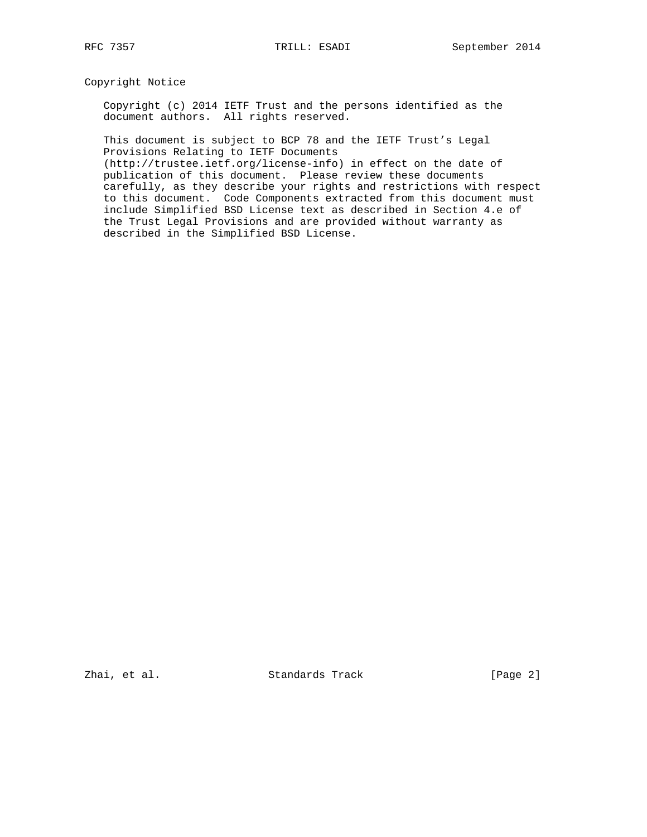Copyright Notice

 Copyright (c) 2014 IETF Trust and the persons identified as the document authors. All rights reserved.

 This document is subject to BCP 78 and the IETF Trust's Legal Provisions Relating to IETF Documents

 (http://trustee.ietf.org/license-info) in effect on the date of publication of this document. Please review these documents carefully, as they describe your rights and restrictions with respect to this document. Code Components extracted from this document must include Simplified BSD License text as described in Section 4.e of the Trust Legal Provisions and are provided without warranty as described in the Simplified BSD License.

Zhai, et al. Standards Track [Page 2]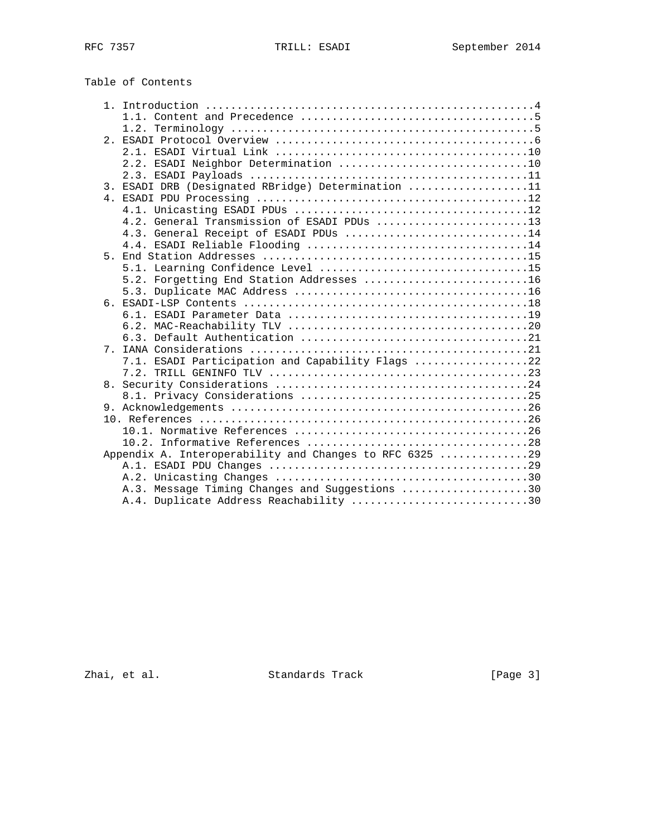|       | Table of Contents                                       |
|-------|---------------------------------------------------------|
|       |                                                         |
|       |                                                         |
|       |                                                         |
|       |                                                         |
|       |                                                         |
|       | 2.2. ESADI Neighbor Determination 10                    |
|       |                                                         |
|       | 3. ESADI DRB (Designated RBridge) Determination 11      |
|       |                                                         |
|       |                                                         |
|       | 4.2. General Transmission of ESADI PDUs 13              |
|       | 4.3. General Receipt of ESADI PDUs 14                   |
|       |                                                         |
|       |                                                         |
|       |                                                         |
|       | 5.2. Forgetting End Station Addresses 16                |
|       |                                                         |
|       |                                                         |
|       |                                                         |
|       |                                                         |
|       |                                                         |
| $7$ . |                                                         |
|       | 7.1. ESADI Participation and Capability Flags 22        |
|       |                                                         |
| 8.    |                                                         |
|       |                                                         |
|       |                                                         |
|       |                                                         |
|       |                                                         |
|       |                                                         |
|       | Appendix A. Interoperability and Changes to RFC 6325 29 |
|       |                                                         |
|       |                                                         |

Zhai, et al. Standards Track [Page 3]

 A.3. Message Timing Changes and Suggestions ....................30 A.4. Duplicate Address Reachability ............................30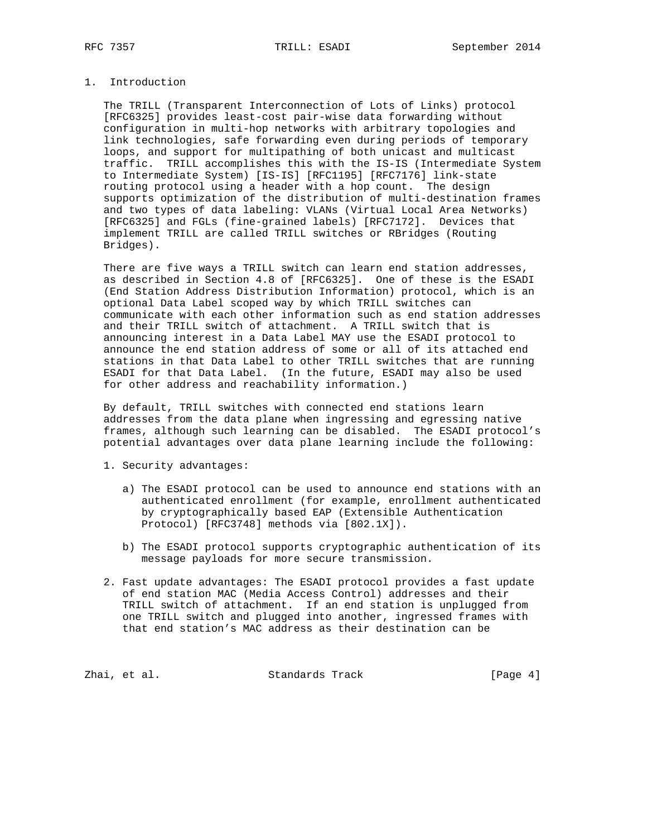# 1. Introduction

 The TRILL (Transparent Interconnection of Lots of Links) protocol [RFC6325] provides least-cost pair-wise data forwarding without configuration in multi-hop networks with arbitrary topologies and link technologies, safe forwarding even during periods of temporary loops, and support for multipathing of both unicast and multicast traffic. TRILL accomplishes this with the IS-IS (Intermediate System to Intermediate System) [IS-IS] [RFC1195] [RFC7176] link-state routing protocol using a header with a hop count. The design supports optimization of the distribution of multi-destination frames and two types of data labeling: VLANs (Virtual Local Area Networks) [RFC6325] and FGLs (fine-grained labels) [RFC7172]. Devices that implement TRILL are called TRILL switches or RBridges (Routing Bridges).

 There are five ways a TRILL switch can learn end station addresses, as described in Section 4.8 of [RFC6325]. One of these is the ESADI (End Station Address Distribution Information) protocol, which is an optional Data Label scoped way by which TRILL switches can communicate with each other information such as end station addresses and their TRILL switch of attachment. A TRILL switch that is announcing interest in a Data Label MAY use the ESADI protocol to announce the end station address of some or all of its attached end stations in that Data Label to other TRILL switches that are running ESADI for that Data Label. (In the future, ESADI may also be used for other address and reachability information.)

 By default, TRILL switches with connected end stations learn addresses from the data plane when ingressing and egressing native frames, although such learning can be disabled. The ESADI protocol's potential advantages over data plane learning include the following:

- 1. Security advantages:
	- a) The ESADI protocol can be used to announce end stations with an authenticated enrollment (for example, enrollment authenticated by cryptographically based EAP (Extensible Authentication Protocol) [RFC3748] methods via [802.1X]).
	- b) The ESADI protocol supports cryptographic authentication of its message payloads for more secure transmission.
- 2. Fast update advantages: The ESADI protocol provides a fast update of end station MAC (Media Access Control) addresses and their TRILL switch of attachment. If an end station is unplugged from one TRILL switch and plugged into another, ingressed frames with that end station's MAC address as their destination can be

Zhai, et al. Standards Track [Page 4]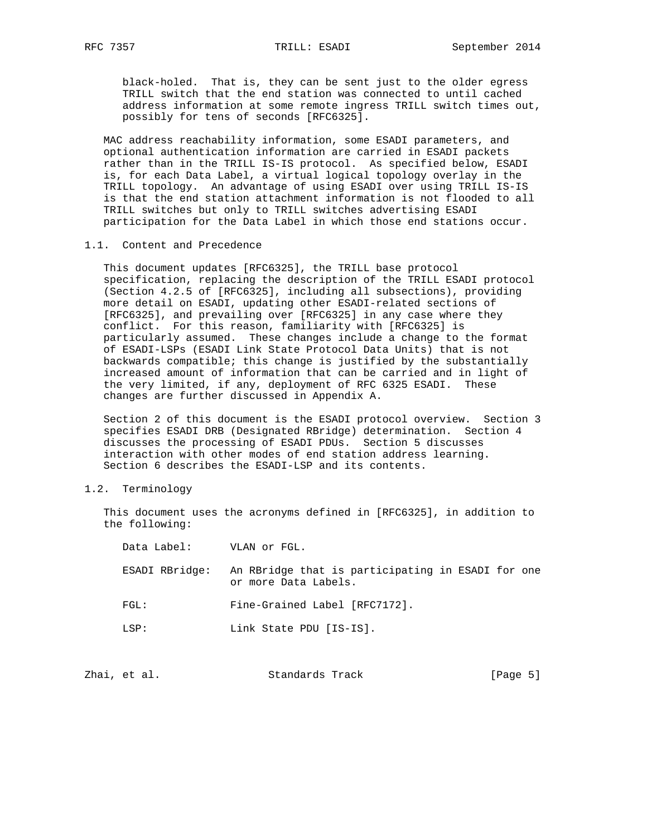black-holed. That is, they can be sent just to the older egress TRILL switch that the end station was connected to until cached address information at some remote ingress TRILL switch times out, possibly for tens of seconds [RFC6325].

 MAC address reachability information, some ESADI parameters, and optional authentication information are carried in ESADI packets rather than in the TRILL IS-IS protocol. As specified below, ESADI is, for each Data Label, a virtual logical topology overlay in the TRILL topology. An advantage of using ESADI over using TRILL IS-IS is that the end station attachment information is not flooded to all TRILL switches but only to TRILL switches advertising ESADI participation for the Data Label in which those end stations occur.

## 1.1. Content and Precedence

 This document updates [RFC6325], the TRILL base protocol specification, replacing the description of the TRILL ESADI protocol (Section 4.2.5 of [RFC6325], including all subsections), providing more detail on ESADI, updating other ESADI-related sections of [RFC6325], and prevailing over [RFC6325] in any case where they conflict. For this reason, familiarity with [RFC6325] is particularly assumed. These changes include a change to the format of ESADI-LSPs (ESADI Link State Protocol Data Units) that is not backwards compatible; this change is justified by the substantially increased amount of information that can be carried and in light of the very limited, if any, deployment of RFC 6325 ESADI. These changes are further discussed in Appendix A.

 Section 2 of this document is the ESADI protocol overview. Section 3 specifies ESADI DRB (Designated RBridge) determination. Section 4 discusses the processing of ESADI PDUs. Section 5 discusses interaction with other modes of end station address learning. Section 6 describes the ESADI-LSP and its contents.

#### 1.2. Terminology

 This document uses the acronyms defined in [RFC6325], in addition to the following:

| Data Label:    | VLAN or FGL.                                                              |
|----------------|---------------------------------------------------------------------------|
| ESADI RBridge: | An RBridge that is participating in ESADI for one<br>or more Data Labels. |
| FGL:           | Fine-Grained Label [RFC7172].                                             |
| T.S P:         | Link State PDU [IS-IS].                                                   |

|  | Zhai, et al. | Standards Track | [Page 5] |
|--|--------------|-----------------|----------|
|--|--------------|-----------------|----------|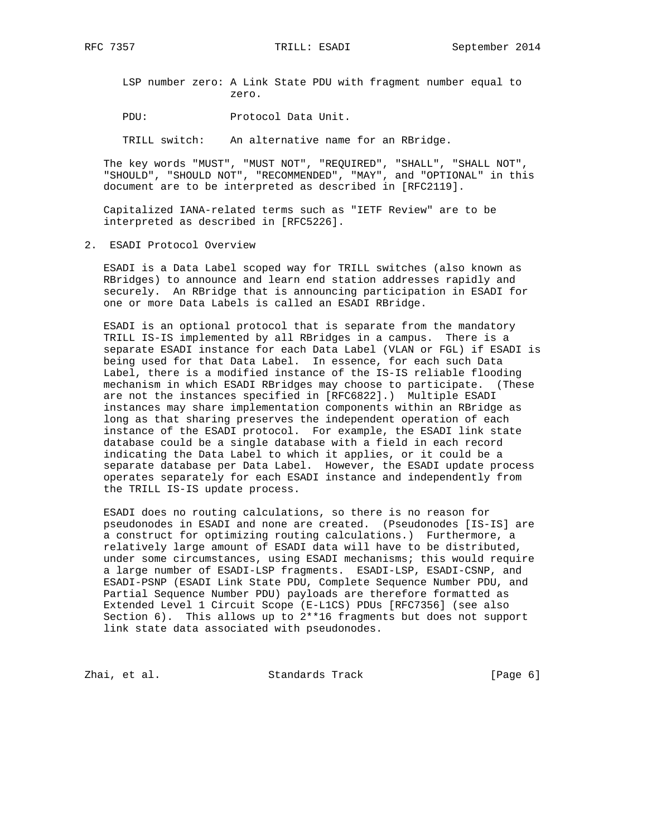LSP number zero: A Link State PDU with fragment number equal to zero.

PDU: Protocol Data Unit.

TRILL switch: An alternative name for an RBridge.

 The key words "MUST", "MUST NOT", "REQUIRED", "SHALL", "SHALL NOT", "SHOULD", "SHOULD NOT", "RECOMMENDED", "MAY", and "OPTIONAL" in this document are to be interpreted as described in [RFC2119].

 Capitalized IANA-related terms such as "IETF Review" are to be interpreted as described in [RFC5226].

2. ESADI Protocol Overview

 ESADI is a Data Label scoped way for TRILL switches (also known as RBridges) to announce and learn end station addresses rapidly and securely. An RBridge that is announcing participation in ESADI for one or more Data Labels is called an ESADI RBridge.

 ESADI is an optional protocol that is separate from the mandatory TRILL IS-IS implemented by all RBridges in a campus. There is a separate ESADI instance for each Data Label (VLAN or FGL) if ESADI is being used for that Data Label. In essence, for each such Data Label, there is a modified instance of the IS-IS reliable flooding mechanism in which ESADI RBridges may choose to participate. (These are not the instances specified in [RFC6822].) Multiple ESADI instances may share implementation components within an RBridge as long as that sharing preserves the independent operation of each instance of the ESADI protocol. For example, the ESADI link state database could be a single database with a field in each record indicating the Data Label to which it applies, or it could be a separate database per Data Label. However, the ESADI update process operates separately for each ESADI instance and independently from the TRILL IS-IS update process.

 ESADI does no routing calculations, so there is no reason for pseudonodes in ESADI and none are created. (Pseudonodes [IS-IS] are a construct for optimizing routing calculations.) Furthermore, a relatively large amount of ESADI data will have to be distributed, under some circumstances, using ESADI mechanisms; this would require a large number of ESADI-LSP fragments. ESADI-LSP, ESADI-CSNP, and ESADI-PSNP (ESADI Link State PDU, Complete Sequence Number PDU, and Partial Sequence Number PDU) payloads are therefore formatted as Extended Level 1 Circuit Scope (E-L1CS) PDUs [RFC7356] (see also Section 6). This allows up to 2\*\*16 fragments but does not support link state data associated with pseudonodes.

Zhai, et al. Standards Track [Page 6]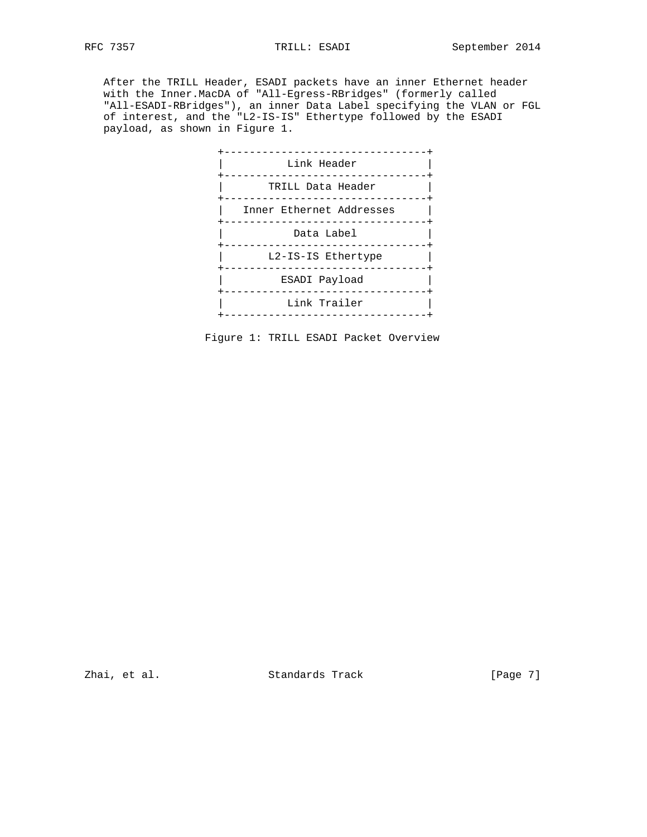After the TRILL Header, ESADI packets have an inner Ethernet header with the Inner.MacDA of "All-Egress-RBridges" (formerly called "All-ESADI-RBridges"), an inner Data Label specifying the VLAN or FGL of interest, and the "L2-IS-IS" Ethertype followed by the ESADI payload, as shown in Figure 1.



Figure 1: TRILL ESADI Packet Overview

Zhai, et al. Standards Track [Page 7]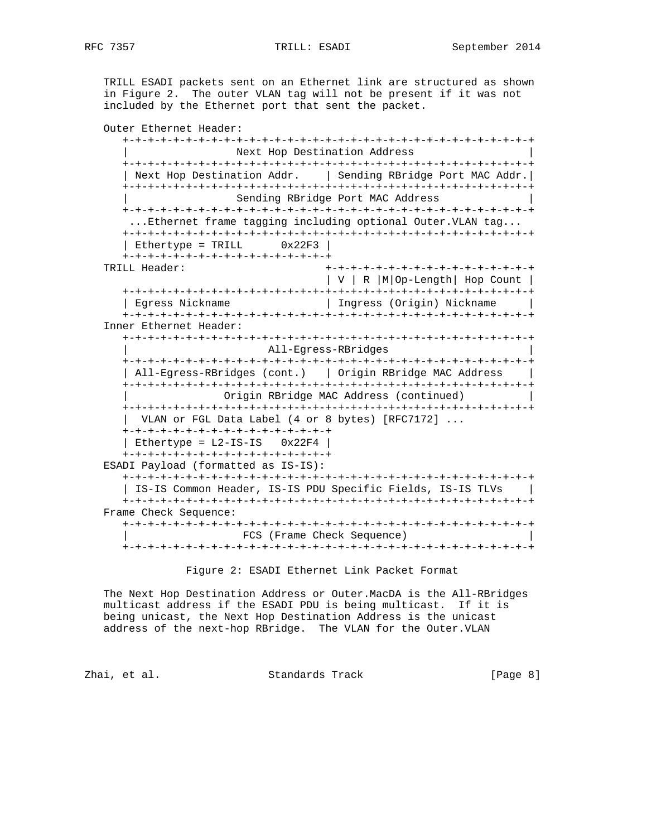TRILL ESADI packets sent on an Ethernet link are structured as shown in Figure 2. The outer VLAN tag will not be present if it was not included by the Ethernet port that sent the packet.

 Outer Ethernet Header: +-+-+-+-+-+-+-+-+-+-+-+-+-+-+-+-+-+-+-+-+-+-+-+-+-+-+-+-+-+-+-+-+ Next Hop Destination Address +-+-+-+-+-+-+-+-+-+-+-+-+-+-+-+-+-+-+-+-+-+-+-+-+-+-+-+-+-+-+-+-+ | Next Hop Destination Addr. | Sending RBridge Port MAC Addr.| +-+-+-+-+-+-+-+-+-+-+-+-+-+-+-+-+-+-+-+-+-+-+-+-+-+-+-+-+-+-+-+-+ Sending RBridge Port MAC Address +-+-+-+-+-+-+-+-+-+-+-+-+-+-+-+-+-+-+-+-+-+-+-+-+-+-+-+-+-+-+-+-+ ...Ethernet frame tagging including optional Outer.VLAN tag... +-+-+-+-+-+-+-+-+-+-+-+-+-+-+-+-+-+-+-+-+-+-+-+-+-+-+-+-+-+-+-+-+  $|$  Ethertype = TRILL  $0x22F3$   $|$  +-+-+-+-+-+-+-+-+-+-+-+-+-+-+-+-+ TRILL Header: +-+-+-+-+-+-+-+-+-+-+-+-+-+-+-+-+ | V | R |M|Op-Length| Hop Count | +-+-+-+-+-+-+-+-+-+-+-+-+-+-+-+-+-+-+-+-+-+-+-+-+-+-+-+-+-+-+-+-+ | Egress Nickname | Ingress (Origin) Nickname | +-+-+-+-+-+-+-+-+-+-+-+-+-+-+-+-+-+-+-+-+-+-+-+-+-+-+-+-+-+-+-+-+ Inner Ethernet Header: +-+-+-+-+-+-+-+-+-+-+-+-+-+-+-+-+-+-+-+-+-+-+-+-+-+-+-+-+-+-+-+-+ | All-Egress-RBridges | +-+-+-+-+-+-+-+-+-+-+-+-+-+-+-+-+-+-+-+-+-+-+-+-+-+-+-+-+-+-+-+-+ | All-Egress-RBridges (cont.) | Origin RBridge MAC Address | +-+-+-+-+-+-+-+-+-+-+-+-+-+-+-+-+-+-+-+-+-+-+-+-+-+-+-+-+-+-+-+-+ Origin RBridge MAC Address (continued) +-+-+-+-+-+-+-+-+-+-+-+-+-+-+-+-+-+-+-+-+-+-+-+-+-+-+-+-+-+-+-+-+ | VLAN or FGL Data Label (4 or 8 bytes) [RFC7172] ... +-+-+-+-+-+-+-+-+-+-+-+-+-+-+-+-+ | Ethertype =  $L2-IS-IS$   $0x22F4$  | +-+-+-+-+-+-+-+-+-+-+-+-+-+-+-+-+ ESADI Payload (formatted as IS-IS): +-+-+-+-+-+-+-+-+-+-+-+-+-+-+-+-+-+-+-+-+-+-+-+-+-+-+-+-+-+-+-+-+ | IS-IS Common Header, IS-IS PDU Specific Fields, IS-IS TLVs | +-+-+-+-+-+-+-+-+-+-+-+-+-+-+-+-+-+-+-+-+-+-+-+-+-+-+-+-+-+-+-+-+ Frame Check Sequence: +-+-+-+-+-+-+-+-+-+-+-+-+-+-+-+-+-+-+-+-+-+-+-+-+-+-+-+-+-+-+-+-+ | FCS (Frame Check Sequence) | +-+-+-+-+-+-+-+-+-+-+-+-+-+-+-+-+-+-+-+-+-+-+-+-+-+-+-+-+-+-+-+-+

Figure 2: ESADI Ethernet Link Packet Format

 The Next Hop Destination Address or Outer.MacDA is the All-RBridges multicast address if the ESADI PDU is being multicast. If it is being unicast, the Next Hop Destination Address is the unicast address of the next-hop RBridge. The VLAN for the Outer.VLAN

Zhai, et al. Standards Track [Page 8]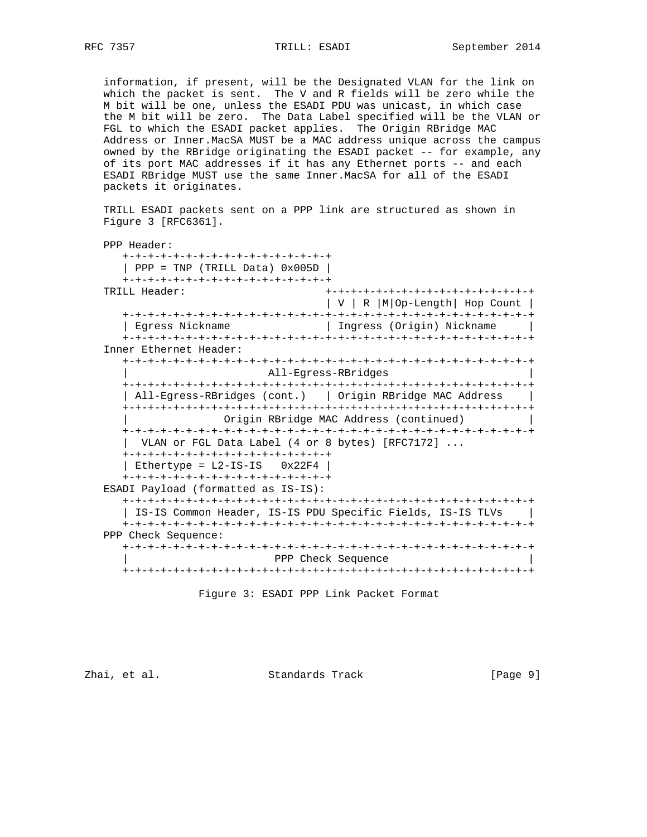information, if present, will be the Designated VLAN for the link on which the packet is sent. The V and R fields will be zero while the M bit will be one, unless the ESADI PDU was unicast, in which case the M bit will be zero. The Data Label specified will be the VLAN or FGL to which the ESADI packet applies. The Origin RBridge MAC Address or Inner.MacSA MUST be a MAC address unique across the campus owned by the RBridge originating the ESADI packet -- for example, any of its port MAC addresses if it has any Ethernet ports -- and each ESADI RBridge MUST use the same Inner.MacSA for all of the ESADI packets it originates.

 TRILL ESADI packets sent on a PPP link are structured as shown in Figure 3 [RFC6361].

 PPP Header: +-+-+-+-+-+-+-+-+-+-+-+-+-+-+-+-+  $|$  PPP = TNP (TRILL Data)  $0x005D$  | +-+-+-+-+-+-+-+-+-+-+-+-+-+-+-+-+ TRILL Header: +-+-+-+-+-+-+-+-+-+-+-+-+-+-+-+-+ | V | R |M|Op-Length| Hop Count | +-+-+-+-+-+-+-+-+-+-+-+-+-+-+-+-+-+-+-+-+-+-+-+-+-+-+-+-+-+-+-+-+ | Egress Nickname | Ingress (Origin) Nickname | +-+-+-+-+-+-+-+-+-+-+-+-+-+-+-+-+-+-+-+-+-+-+-+-+-+-+-+-+-+-+-+-+ Inner Ethernet Header: +-+-+-+-+-+-+-+-+-+-+-+-+-+-+-+-+-+-+-+-+-+-+-+-+-+-+-+-+-+-+-+-+ All-Egress-RBridges +-+-+-+-+-+-+-+-+-+-+-+-+-+-+-+-+-+-+-+-+-+-+-+-+-+-+-+-+-+-+-+-+ | All-Egress-RBridges (cont.) | Origin RBridge MAC Address | +-+-+-+-+-+-+-+-+-+-+-+-+-+-+-+-+-+-+-+-+-+-+-+-+-+-+-+-+-+-+-+-+ Origin RBridge MAC Address (continued) +-+-+-+-+-+-+-+-+-+-+-+-+-+-+-+-+-+-+-+-+-+-+-+-+-+-+-+-+-+-+-+-+ | VLAN or FGL Data Label (4 or 8 bytes) [RFC7172] ... +-+-+-+-+-+-+-+-+-+-+-+-+-+-+-+-+ | Ethertype =  $L2-IS-IS$   $0x22F4$  | +-+-+-+-+-+-+-+-+-+-+-+-+-+-+-+-+ ESADI Payload (formatted as IS-IS): +-+-+-+-+-+-+-+-+-+-+-+-+-+-+-+-+-+-+-+-+-+-+-+-+-+-+-+-+-+-+-+-+ | IS-IS Common Header, IS-IS PDU Specific Fields, IS-IS TLVs | +-+-+-+-+-+-+-+-+-+-+-+-+-+-+-+-+-+-+-+-+-+-+-+-+-+-+-+-+-+-+-+-+ PPP Check Sequence: +-+-+-+-+-+-+-+-+-+-+-+-+-+-+-+-+-+-+-+-+-+-+-+-+-+-+-+-+-+-+-+-+ | PPP Check Sequence | +-+-+-+-+-+-+-+-+-+-+-+-+-+-+-+-+-+-+-+-+-+-+-+-+-+-+-+-+-+-+-+-+

Figure 3: ESADI PPP Link Packet Format

Zhai, et al. Standards Track [Page 9]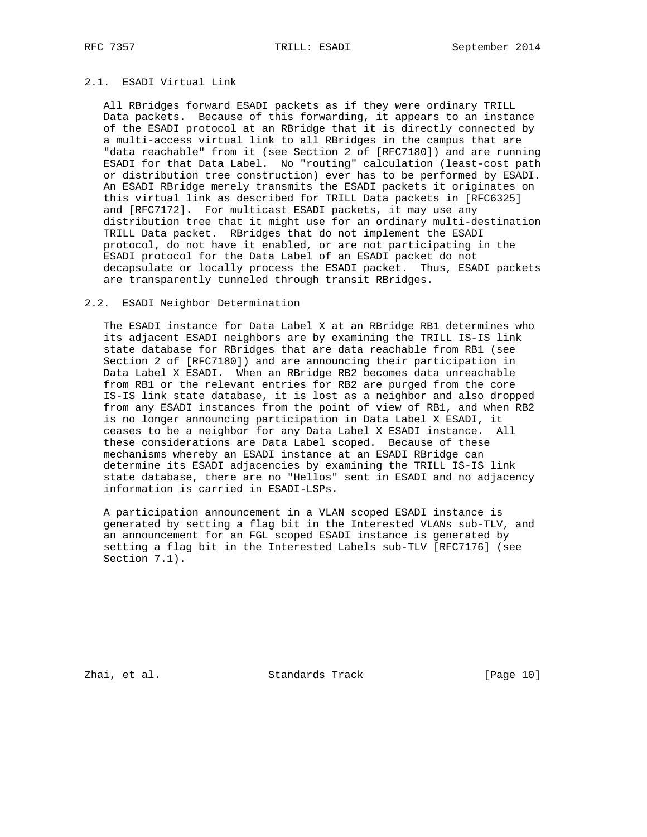# 2.1. ESADI Virtual Link

 All RBridges forward ESADI packets as if they were ordinary TRILL Data packets. Because of this forwarding, it appears to an instance of the ESADI protocol at an RBridge that it is directly connected by a multi-access virtual link to all RBridges in the campus that are "data reachable" from it (see Section 2 of [RFC7180]) and are running ESADI for that Data Label. No "routing" calculation (least-cost path or distribution tree construction) ever has to be performed by ESADI. An ESADI RBridge merely transmits the ESADI packets it originates on this virtual link as described for TRILL Data packets in [RFC6325] and [RFC7172]. For multicast ESADI packets, it may use any distribution tree that it might use for an ordinary multi-destination TRILL Data packet. RBridges that do not implement the ESADI protocol, do not have it enabled, or are not participating in the ESADI protocol for the Data Label of an ESADI packet do not decapsulate or locally process the ESADI packet. Thus, ESADI packets are transparently tunneled through transit RBridges.

## 2.2. ESADI Neighbor Determination

 The ESADI instance for Data Label X at an RBridge RB1 determines who its adjacent ESADI neighbors are by examining the TRILL IS-IS link state database for RBridges that are data reachable from RB1 (see Section 2 of [RFC7180]) and are announcing their participation in Data Label X ESADI. When an RBridge RB2 becomes data unreachable from RB1 or the relevant entries for RB2 are purged from the core IS-IS link state database, it is lost as a neighbor and also dropped from any ESADI instances from the point of view of RB1, and when RB2 is no longer announcing participation in Data Label X ESADI, it ceases to be a neighbor for any Data Label X ESADI instance. All these considerations are Data Label scoped. Because of these mechanisms whereby an ESADI instance at an ESADI RBridge can determine its ESADI adjacencies by examining the TRILL IS-IS link state database, there are no "Hellos" sent in ESADI and no adjacency information is carried in ESADI-LSPs.

 A participation announcement in a VLAN scoped ESADI instance is generated by setting a flag bit in the Interested VLANs sub-TLV, and an announcement for an FGL scoped ESADI instance is generated by setting a flag bit in the Interested Labels sub-TLV [RFC7176] (see Section 7.1).

Zhai, et al. Standards Track [Page 10]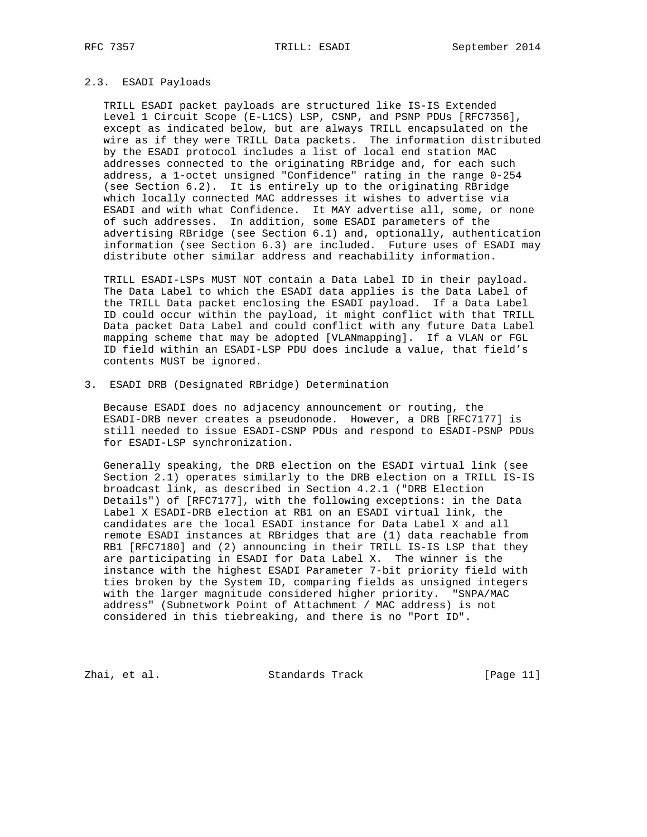# 2.3. ESADI Payloads

 TRILL ESADI packet payloads are structured like IS-IS Extended Level 1 Circuit Scope (E-L1CS) LSP, CSNP, and PSNP PDUs [RFC7356], except as indicated below, but are always TRILL encapsulated on the wire as if they were TRILL Data packets. The information distributed by the ESADI protocol includes a list of local end station MAC addresses connected to the originating RBridge and, for each such address, a 1-octet unsigned "Confidence" rating in the range 0-254 (see Section 6.2). It is entirely up to the originating RBridge which locally connected MAC addresses it wishes to advertise via ESADI and with what Confidence. It MAY advertise all, some, or none of such addresses. In addition, some ESADI parameters of the advertising RBridge (see Section 6.1) and, optionally, authentication information (see Section 6.3) are included. Future uses of ESADI may distribute other similar address and reachability information.

 TRILL ESADI-LSPs MUST NOT contain a Data Label ID in their payload. The Data Label to which the ESADI data applies is the Data Label of the TRILL Data packet enclosing the ESADI payload. If a Data Label ID could occur within the payload, it might conflict with that TRILL Data packet Data Label and could conflict with any future Data Label mapping scheme that may be adopted [VLANmapping]. If a VLAN or FGL ID field within an ESADI-LSP PDU does include a value, that field's contents MUST be ignored.

3. ESADI DRB (Designated RBridge) Determination

 Because ESADI does no adjacency announcement or routing, the ESADI-DRB never creates a pseudonode. However, a DRB [RFC7177] is still needed to issue ESADI-CSNP PDUs and respond to ESADI-PSNP PDUs for ESADI-LSP synchronization.

 Generally speaking, the DRB election on the ESADI virtual link (see Section 2.1) operates similarly to the DRB election on a TRILL IS-IS broadcast link, as described in Section 4.2.1 ("DRB Election Details") of [RFC7177], with the following exceptions: in the Data Label X ESADI-DRB election at RB1 on an ESADI virtual link, the candidates are the local ESADI instance for Data Label X and all remote ESADI instances at RBridges that are (1) data reachable from RB1 [RFC7180] and (2) announcing in their TRILL IS-IS LSP that they are participating in ESADI for Data Label X. The winner is the instance with the highest ESADI Parameter 7-bit priority field with ties broken by the System ID, comparing fields as unsigned integers with the larger magnitude considered higher priority. "SNPA/MAC address" (Subnetwork Point of Attachment / MAC address) is not considered in this tiebreaking, and there is no "Port ID".

Zhai, et al. Standards Track [Page 11]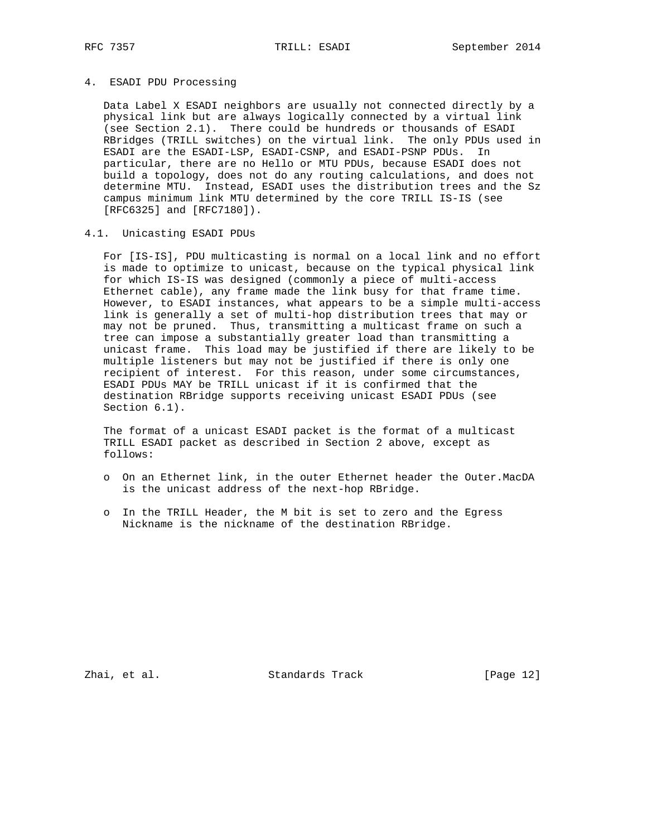### 4. ESADI PDU Processing

 Data Label X ESADI neighbors are usually not connected directly by a physical link but are always logically connected by a virtual link (see Section 2.1). There could be hundreds or thousands of ESADI RBridges (TRILL switches) on the virtual link. The only PDUs used in ESADI are the ESADI-LSP, ESADI-CSNP, and ESADI-PSNP PDUs. In particular, there are no Hello or MTU PDUs, because ESADI does not build a topology, does not do any routing calculations, and does not determine MTU. Instead, ESADI uses the distribution trees and the Sz campus minimum link MTU determined by the core TRILL IS-IS (see [RFC6325] and [RFC7180]).

## 4.1. Unicasting ESADI PDUs

 For [IS-IS], PDU multicasting is normal on a local link and no effort is made to optimize to unicast, because on the typical physical link for which IS-IS was designed (commonly a piece of multi-access Ethernet cable), any frame made the link busy for that frame time. However, to ESADI instances, what appears to be a simple multi-access link is generally a set of multi-hop distribution trees that may or may not be pruned. Thus, transmitting a multicast frame on such a tree can impose a substantially greater load than transmitting a unicast frame. This load may be justified if there are likely to be multiple listeners but may not be justified if there is only one recipient of interest. For this reason, under some circumstances, ESADI PDUs MAY be TRILL unicast if it is confirmed that the destination RBridge supports receiving unicast ESADI PDUs (see Section 6.1).

 The format of a unicast ESADI packet is the format of a multicast TRILL ESADI packet as described in Section 2 above, except as follows:

- o On an Ethernet link, in the outer Ethernet header the Outer.MacDA is the unicast address of the next-hop RBridge.
- o In the TRILL Header, the M bit is set to zero and the Egress Nickname is the nickname of the destination RBridge.

Zhai, et al. Standards Track [Page 12]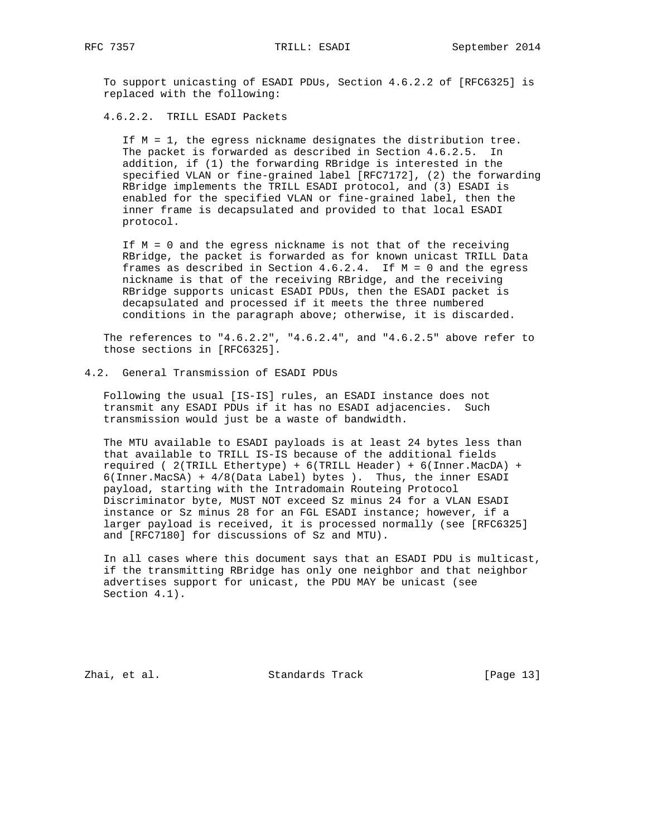To support unicasting of ESADI PDUs, Section 4.6.2.2 of [RFC6325] is replaced with the following:

4.6.2.2. TRILL ESADI Packets

 If M = 1, the egress nickname designates the distribution tree. The packet is forwarded as described in Section 4.6.2.5. In addition, if (1) the forwarding RBridge is interested in the specified VLAN or fine-grained label [RFC7172], (2) the forwarding RBridge implements the TRILL ESADI protocol, and (3) ESADI is enabled for the specified VLAN or fine-grained label, then the inner frame is decapsulated and provided to that local ESADI protocol.

 If M = 0 and the egress nickname is not that of the receiving RBridge, the packet is forwarded as for known unicast TRILL Data frames as described in Section 4.6.2.4. If M = 0 and the egress nickname is that of the receiving RBridge, and the receiving RBridge supports unicast ESADI PDUs, then the ESADI packet is decapsulated and processed if it meets the three numbered conditions in the paragraph above; otherwise, it is discarded.

The references to  $4.6.2.2$ ",  $4.6.2.4$ ", and  $4.6.2.5$ " above refer to those sections in [RFC6325].

#### 4.2. General Transmission of ESADI PDUs

 Following the usual [IS-IS] rules, an ESADI instance does not transmit any ESADI PDUs if it has no ESADI adjacencies. Such transmission would just be a waste of bandwidth.

 The MTU available to ESADI payloads is at least 24 bytes less than that available to TRILL IS-IS because of the additional fields required ( 2(TRILL Ethertype) + 6(TRILL Header) + 6(Inner.MacDA) + 6(Inner.MacSA) + 4/8(Data Label) bytes ). Thus, the inner ESADI payload, starting with the Intradomain Routeing Protocol Discriminator byte, MUST NOT exceed Sz minus 24 for a VLAN ESADI instance or Sz minus 28 for an FGL ESADI instance; however, if a larger payload is received, it is processed normally (see [RFC6325] and [RFC7180] for discussions of Sz and MTU).

 In all cases where this document says that an ESADI PDU is multicast, if the transmitting RBridge has only one neighbor and that neighbor advertises support for unicast, the PDU MAY be unicast (see Section 4.1).

Zhai, et al. Standards Track [Page 13]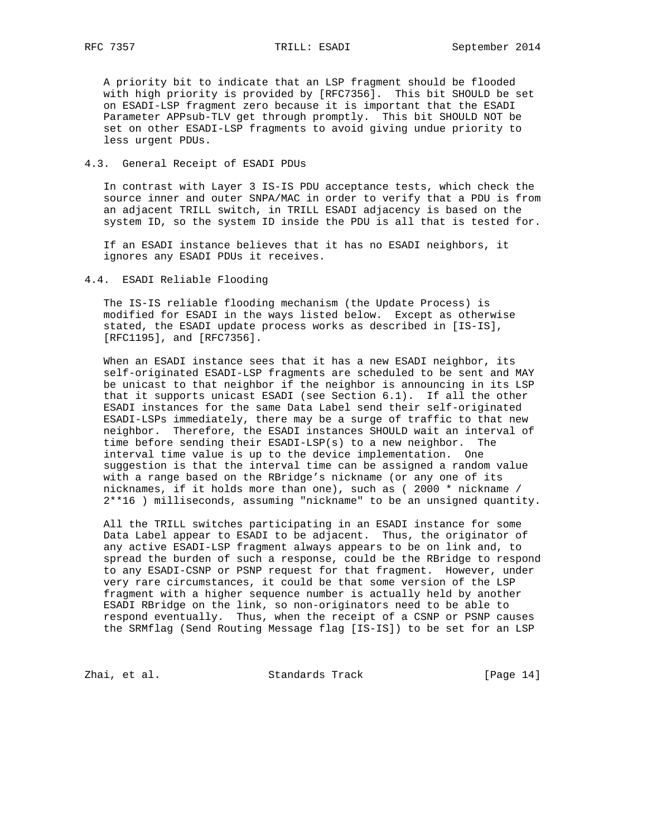A priority bit to indicate that an LSP fragment should be flooded with high priority is provided by [RFC7356]. This bit SHOULD be set on ESADI-LSP fragment zero because it is important that the ESADI Parameter APPsub-TLV get through promptly. This bit SHOULD NOT be set on other ESADI-LSP fragments to avoid giving undue priority to less urgent PDUs.

### 4.3. General Receipt of ESADI PDUs

 In contrast with Layer 3 IS-IS PDU acceptance tests, which check the source inner and outer SNPA/MAC in order to verify that a PDU is from an adjacent TRILL switch, in TRILL ESADI adjacency is based on the system ID, so the system ID inside the PDU is all that is tested for.

 If an ESADI instance believes that it has no ESADI neighbors, it ignores any ESADI PDUs it receives.

### 4.4. ESADI Reliable Flooding

 The IS-IS reliable flooding mechanism (the Update Process) is modified for ESADI in the ways listed below. Except as otherwise stated, the ESADI update process works as described in [IS-IS], [RFC1195], and [RFC7356].

 When an ESADI instance sees that it has a new ESADI neighbor, its self-originated ESADI-LSP fragments are scheduled to be sent and MAY be unicast to that neighbor if the neighbor is announcing in its LSP that it supports unicast ESADI (see Section 6.1). If all the other ESADI instances for the same Data Label send their self-originated ESADI-LSPs immediately, there may be a surge of traffic to that new neighbor. Therefore, the ESADI instances SHOULD wait an interval of time before sending their ESADI-LSP(s) to a new neighbor. The interval time value is up to the device implementation. One suggestion is that the interval time can be assigned a random value with a range based on the RBridge's nickname (or any one of its nicknames, if it holds more than one), such as ( 2000 \* nickname / 2\*\*16 ) milliseconds, assuming "nickname" to be an unsigned quantity.

 All the TRILL switches participating in an ESADI instance for some Data Label appear to ESADI to be adjacent. Thus, the originator of any active ESADI-LSP fragment always appears to be on link and, to spread the burden of such a response, could be the RBridge to respond to any ESADI-CSNP or PSNP request for that fragment. However, under very rare circumstances, it could be that some version of the LSP fragment with a higher sequence number is actually held by another ESADI RBridge on the link, so non-originators need to be able to respond eventually. Thus, when the receipt of a CSNP or PSNP causes the SRMflag (Send Routing Message flag [IS-IS]) to be set for an LSP

Zhai, et al. Standards Track [Page 14]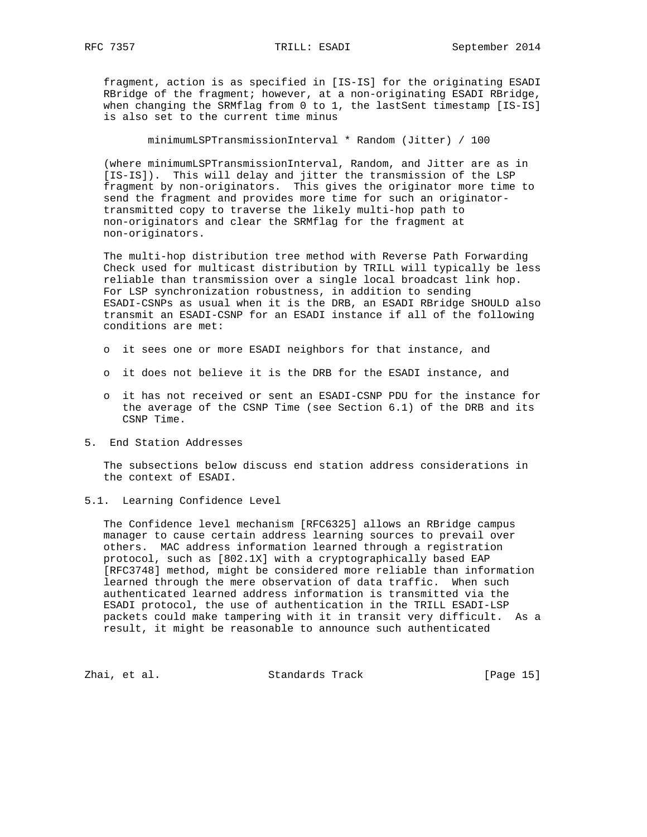fragment, action is as specified in [IS-IS] for the originating ESADI RBridge of the fragment; however, at a non-originating ESADI RBridge, when changing the SRMflag from 0 to 1, the lastSent timestamp [IS-IS] is also set to the current time minus

minimumLSPTransmissionInterval \* Random (Jitter) / 100

 (where minimumLSPTransmissionInterval, Random, and Jitter are as in [IS-IS]). This will delay and jitter the transmission of the LSP fragment by non-originators. This gives the originator more time to send the fragment and provides more time for such an originator transmitted copy to traverse the likely multi-hop path to non-originators and clear the SRMflag for the fragment at non-originators.

 The multi-hop distribution tree method with Reverse Path Forwarding Check used for multicast distribution by TRILL will typically be less reliable than transmission over a single local broadcast link hop. For LSP synchronization robustness, in addition to sending ESADI-CSNPs as usual when it is the DRB, an ESADI RBridge SHOULD also transmit an ESADI-CSNP for an ESADI instance if all of the following conditions are met:

- o it sees one or more ESADI neighbors for that instance, and
- o it does not believe it is the DRB for the ESADI instance, and
- o it has not received or sent an ESADI-CSNP PDU for the instance for the average of the CSNP Time (see Section 6.1) of the DRB and its CSNP Time.
- 5. End Station Addresses

 The subsections below discuss end station address considerations in the context of ESADI.

5.1. Learning Confidence Level

 The Confidence level mechanism [RFC6325] allows an RBridge campus manager to cause certain address learning sources to prevail over others. MAC address information learned through a registration protocol, such as [802.1X] with a cryptographically based EAP [RFC3748] method, might be considered more reliable than information learned through the mere observation of data traffic. When such authenticated learned address information is transmitted via the ESADI protocol, the use of authentication in the TRILL ESADI-LSP packets could make tampering with it in transit very difficult. As a result, it might be reasonable to announce such authenticated

Zhai, et al. Standards Track [Page 15]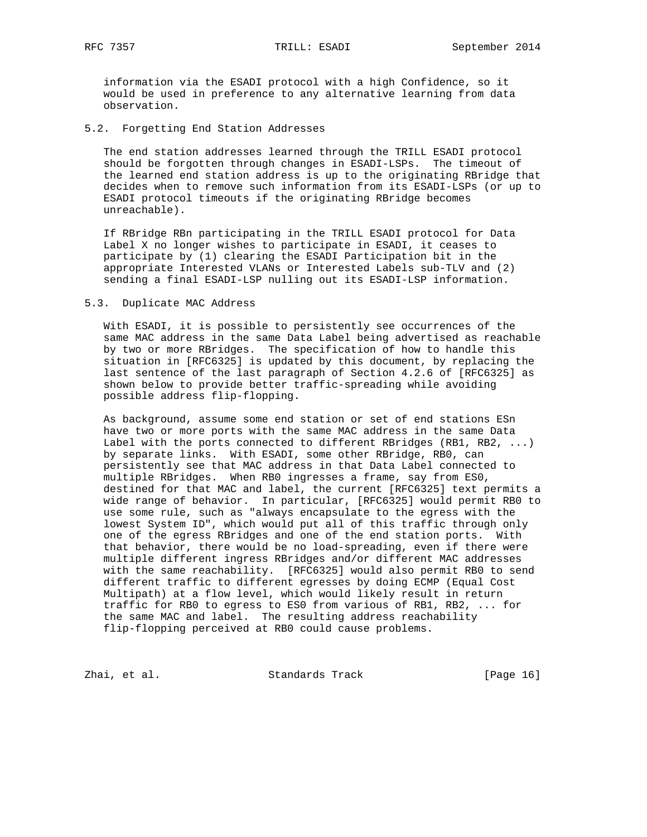information via the ESADI protocol with a high Confidence, so it would be used in preference to any alternative learning from data observation.

# 5.2. Forgetting End Station Addresses

 The end station addresses learned through the TRILL ESADI protocol should be forgotten through changes in ESADI-LSPs. The timeout of the learned end station address is up to the originating RBridge that decides when to remove such information from its ESADI-LSPs (or up to ESADI protocol timeouts if the originating RBridge becomes unreachable).

 If RBridge RBn participating in the TRILL ESADI protocol for Data Label X no longer wishes to participate in ESADI, it ceases to participate by (1) clearing the ESADI Participation bit in the appropriate Interested VLANs or Interested Labels sub-TLV and (2) sending a final ESADI-LSP nulling out its ESADI-LSP information.

#### 5.3. Duplicate MAC Address

 With ESADI, it is possible to persistently see occurrences of the same MAC address in the same Data Label being advertised as reachable by two or more RBridges. The specification of how to handle this situation in [RFC6325] is updated by this document, by replacing the last sentence of the last paragraph of Section 4.2.6 of [RFC6325] as shown below to provide better traffic-spreading while avoiding possible address flip-flopping.

 As background, assume some end station or set of end stations ESn have two or more ports with the same MAC address in the same Data Label with the ports connected to different RBridges (RB1, RB2, ...) by separate links. With ESADI, some other RBridge, RB0, can persistently see that MAC address in that Data Label connected to multiple RBridges. When RB0 ingresses a frame, say from ES0, destined for that MAC and label, the current [RFC6325] text permits a wide range of behavior. In particular, [RFC6325] would permit RB0 to use some rule, such as "always encapsulate to the egress with the lowest System ID", which would put all of this traffic through only one of the egress RBridges and one of the end station ports. With that behavior, there would be no load-spreading, even if there were multiple different ingress RBridges and/or different MAC addresses with the same reachability. [RFC6325] would also permit RB0 to send different traffic to different egresses by doing ECMP (Equal Cost Multipath) at a flow level, which would likely result in return traffic for RB0 to egress to ES0 from various of RB1, RB2, ... for the same MAC and label. The resulting address reachability flip-flopping perceived at RB0 could cause problems.

Zhai, et al. Standards Track [Page 16]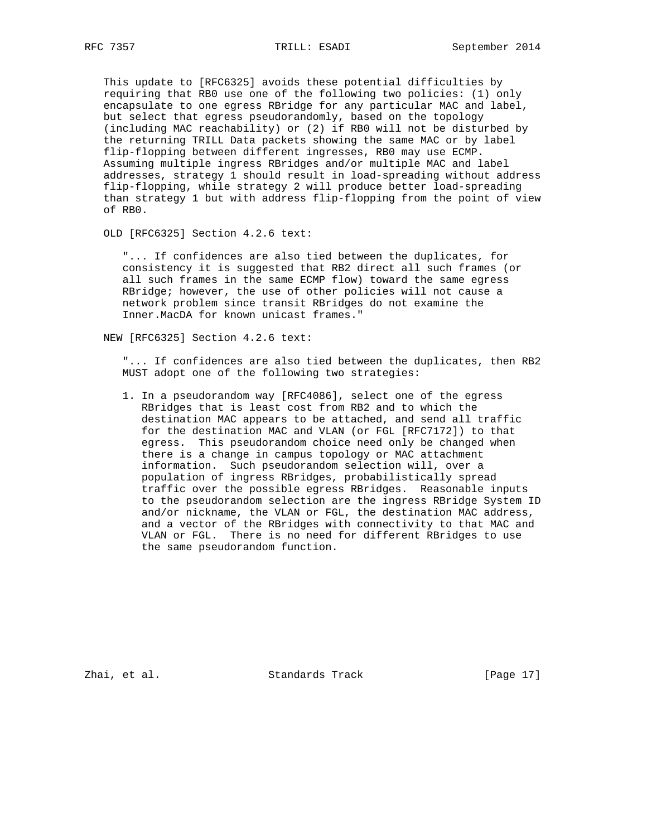This update to [RFC6325] avoids these potential difficulties by requiring that RB0 use one of the following two policies: (1) only encapsulate to one egress RBridge for any particular MAC and label, but select that egress pseudorandomly, based on the topology (including MAC reachability) or (2) if RB0 will not be disturbed by the returning TRILL Data packets showing the same MAC or by label flip-flopping between different ingresses, RB0 may use ECMP. Assuming multiple ingress RBridges and/or multiple MAC and label addresses, strategy 1 should result in load-spreading without address flip-flopping, while strategy 2 will produce better load-spreading than strategy 1 but with address flip-flopping from the point of view of RB0.

OLD [RFC6325] Section 4.2.6 text:

 "... If confidences are also tied between the duplicates, for consistency it is suggested that RB2 direct all such frames (or all such frames in the same ECMP flow) toward the same egress RBridge; however, the use of other policies will not cause a network problem since transit RBridges do not examine the Inner.MacDA for known unicast frames."

NEW [RFC6325] Section 4.2.6 text:

 "... If confidences are also tied between the duplicates, then RB2 MUST adopt one of the following two strategies:

 1. In a pseudorandom way [RFC4086], select one of the egress RBridges that is least cost from RB2 and to which the destination MAC appears to be attached, and send all traffic for the destination MAC and VLAN (or FGL [RFC7172]) to that egress. This pseudorandom choice need only be changed when there is a change in campus topology or MAC attachment information. Such pseudorandom selection will, over a population of ingress RBridges, probabilistically spread traffic over the possible egress RBridges. Reasonable inputs to the pseudorandom selection are the ingress RBridge System ID and/or nickname, the VLAN or FGL, the destination MAC address, and a vector of the RBridges with connectivity to that MAC and VLAN or FGL. There is no need for different RBridges to use the same pseudorandom function.

Zhai, et al. Standards Track [Page 17]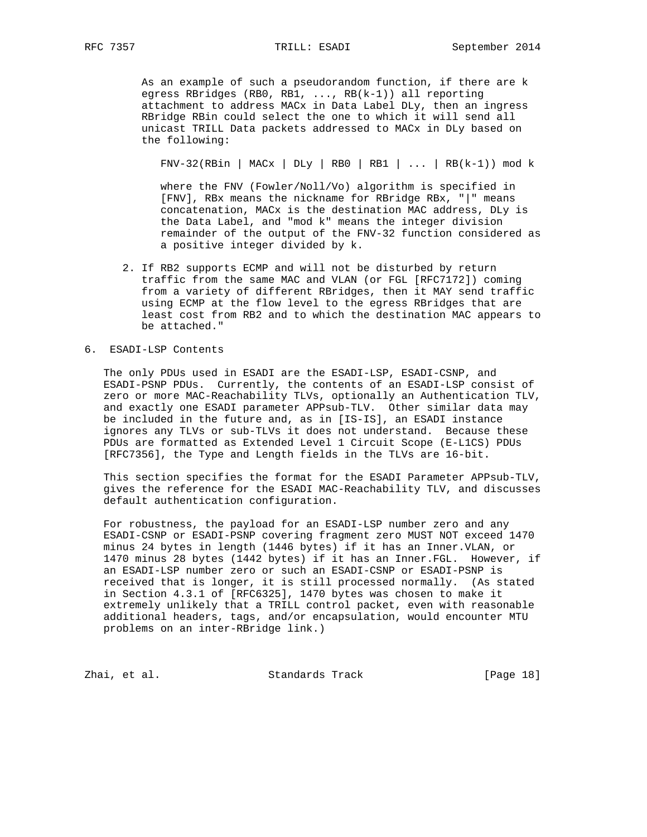As an example of such a pseudorandom function, if there are k egress RBridges (RB0, RB1, ..., RB(k-1)) all reporting attachment to address MACx in Data Label DLy, then an ingress RBridge RBin could select the one to which it will send all unicast TRILL Data packets addressed to MACx in DLy based on the following:

 $FNV-32(RBin | MACX | DLy | RBO | RBI | ... | RB(k-1)) \mod k$ 

 where the FNV (Fowler/Noll/Vo) algorithm is specified in [FNV], RBx means the nickname for RBridge RBx, "|" means concatenation, MACx is the destination MAC address, DLy is the Data Label, and "mod k" means the integer division remainder of the output of the FNV-32 function considered as a positive integer divided by k.

 2. If RB2 supports ECMP and will not be disturbed by return traffic from the same MAC and VLAN (or FGL [RFC7172]) coming from a variety of different RBridges, then it MAY send traffic using ECMP at the flow level to the egress RBridges that are least cost from RB2 and to which the destination MAC appears to be attached."

# 6. ESADI-LSP Contents

 The only PDUs used in ESADI are the ESADI-LSP, ESADI-CSNP, and ESADI-PSNP PDUs. Currently, the contents of an ESADI-LSP consist of zero or more MAC-Reachability TLVs, optionally an Authentication TLV, and exactly one ESADI parameter APPsub-TLV. Other similar data may be included in the future and, as in [IS-IS], an ESADI instance ignores any TLVs or sub-TLVs it does not understand. Because these PDUs are formatted as Extended Level 1 Circuit Scope (E-L1CS) PDUs [RFC7356], the Type and Length fields in the TLVs are 16-bit.

 This section specifies the format for the ESADI Parameter APPsub-TLV, gives the reference for the ESADI MAC-Reachability TLV, and discusses default authentication configuration.

 For robustness, the payload for an ESADI-LSP number zero and any ESADI-CSNP or ESADI-PSNP covering fragment zero MUST NOT exceed 1470 minus 24 bytes in length (1446 bytes) if it has an Inner.VLAN, or 1470 minus 28 bytes (1442 bytes) if it has an Inner.FGL. However, if an ESADI-LSP number zero or such an ESADI-CSNP or ESADI-PSNP is received that is longer, it is still processed normally. (As stated in Section 4.3.1 of [RFC6325], 1470 bytes was chosen to make it extremely unlikely that a TRILL control packet, even with reasonable additional headers, tags, and/or encapsulation, would encounter MTU problems on an inter-RBridge link.)

Zhai, et al. Standards Track [Page 18]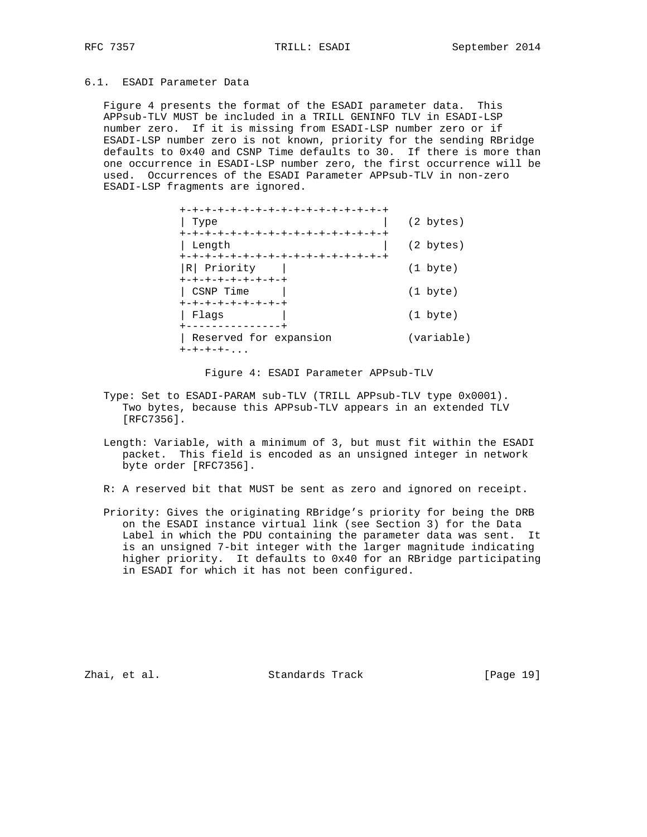# 6.1. ESADI Parameter Data

 Figure 4 presents the format of the ESADI parameter data. This APPsub-TLV MUST be included in a TRILL GENINFO TLV in ESADI-LSP number zero. If it is missing from ESADI-LSP number zero or if ESADI-LSP number zero is not known, priority for the sending RBridge defaults to 0x40 and CSNP Time defaults to 30. If there is more than one occurrence in ESADI-LSP number zero, the first occurrence will be used. Occurrences of the ESADI Parameter APPsub-TLV in non-zero ESADI-LSP fragments are ignored.

| +-+-+-+-+-+-+-+-+-+-+-+-+-+-+-+-+-+                 |                   |
|-----------------------------------------------------|-------------------|
| Type                                                | (2 bytes)         |
| +-+-+-+-+-+-+-+-+-+-+-+-+-+-+-+-+-+<br>Length       | (2 bytes)         |
| +-+-+-+-+-+-+-+-+-+-+-+-+-+-+-+-+-+<br> R  Priority | $(1 \text{byte})$ |
| +-+-+-+-+-+-+-+-+<br>CSNP Time                      | $(1 \text{byte})$ |
| +-+-+-+-+-+-+-+-+<br>Flaqs                          | $(1 \text{byte})$ |
| Reserved for expansion<br>$+ - + - + - + -$         | (variable)        |

Figure 4: ESADI Parameter APPsub-TLV

- Type: Set to ESADI-PARAM sub-TLV (TRILL APPsub-TLV type 0x0001). Two bytes, because this APPsub-TLV appears in an extended TLV [RFC7356].
- Length: Variable, with a minimum of 3, but must fit within the ESADI packet. This field is encoded as an unsigned integer in network byte order [RFC7356].
- R: A reserved bit that MUST be sent as zero and ignored on receipt.
- Priority: Gives the originating RBridge's priority for being the DRB on the ESADI instance virtual link (see Section 3) for the Data Label in which the PDU containing the parameter data was sent. It is an unsigned 7-bit integer with the larger magnitude indicating higher priority. It defaults to 0x40 for an RBridge participating in ESADI for which it has not been configured.

Zhai, et al. Standards Track [Page 19]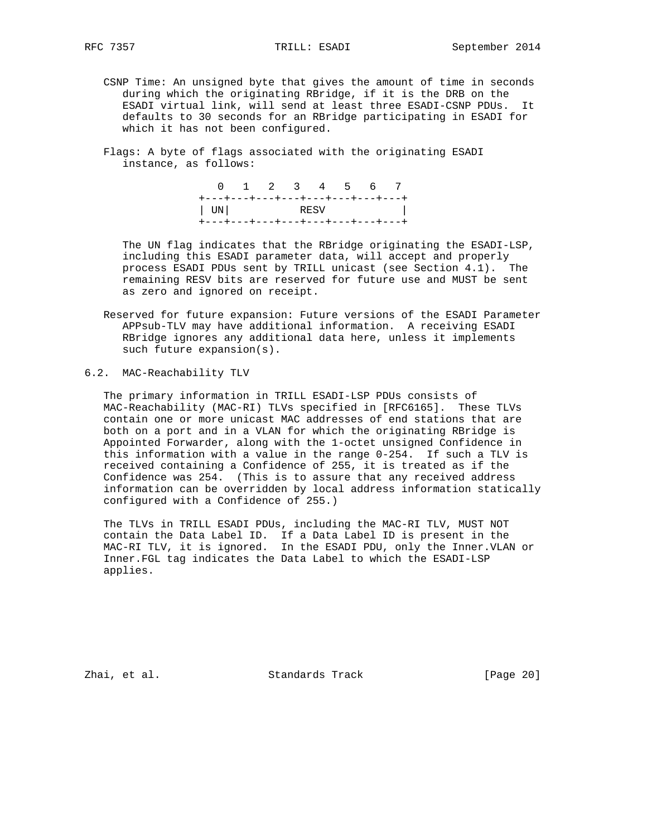- CSNP Time: An unsigned byte that gives the amount of time in seconds during which the originating RBridge, if it is the DRB on the ESADI virtual link, will send at least three ESADI-CSNP PDUs. It defaults to 30 seconds for an RBridge participating in ESADI for which it has not been configured.
- Flags: A byte of flags associated with the originating ESADI instance, as follows:

 0 1 2 3 4 5 6 7 +---+---+---+---+---+---+---+---+ | UN| RESV | +---+---+---+---+---+---+---+---+

 The UN flag indicates that the RBridge originating the ESADI-LSP, including this ESADI parameter data, will accept and properly process ESADI PDUs sent by TRILL unicast (see Section 4.1). The remaining RESV bits are reserved for future use and MUST be sent as zero and ignored on receipt.

- Reserved for future expansion: Future versions of the ESADI Parameter APPsub-TLV may have additional information. A receiving ESADI RBridge ignores any additional data here, unless it implements such future expansion(s).
- 6.2. MAC-Reachability TLV

 The primary information in TRILL ESADI-LSP PDUs consists of MAC-Reachability (MAC-RI) TLVs specified in [RFC6165]. These TLVs contain one or more unicast MAC addresses of end stations that are both on a port and in a VLAN for which the originating RBridge is Appointed Forwarder, along with the 1-octet unsigned Confidence in this information with a value in the range 0-254. If such a TLV is received containing a Confidence of 255, it is treated as if the Confidence was 254. (This is to assure that any received address information can be overridden by local address information statically configured with a Confidence of 255.)

 The TLVs in TRILL ESADI PDUs, including the MAC-RI TLV, MUST NOT contain the Data Label ID. If a Data Label ID is present in the MAC-RI TLV, it is ignored. In the ESADI PDU, only the Inner.VLAN or Inner.FGL tag indicates the Data Label to which the ESADI-LSP applies.

Zhai, et al. Standards Track [Page 20]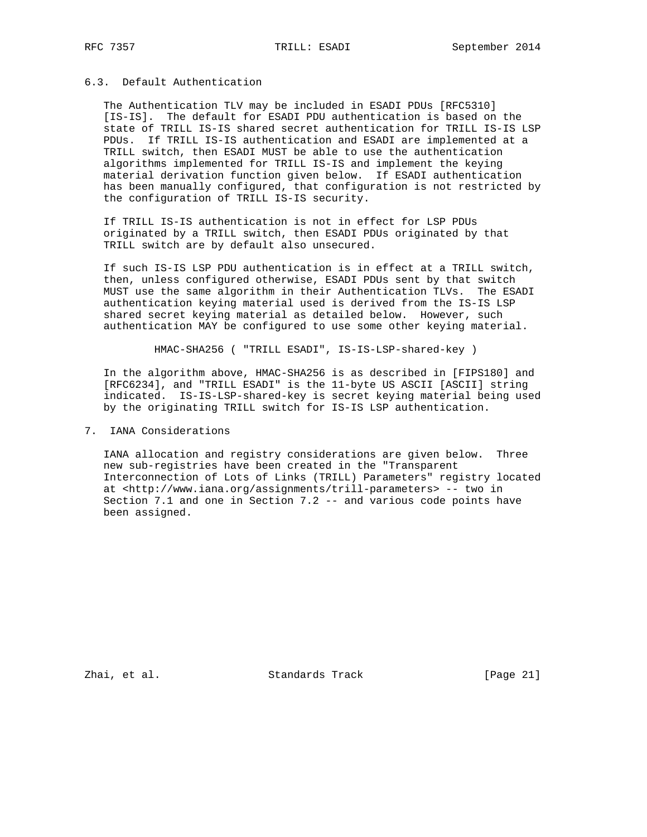# 6.3. Default Authentication

 The Authentication TLV may be included in ESADI PDUs [RFC5310] [IS-IS]. The default for ESADI PDU authentication is based on the state of TRILL IS-IS shared secret authentication for TRILL IS-IS LSP PDUs. If TRILL IS-IS authentication and ESADI are implemented at a TRILL switch, then ESADI MUST be able to use the authentication algorithms implemented for TRILL IS-IS and implement the keying material derivation function given below. If ESADI authentication has been manually configured, that configuration is not restricted by the configuration of TRILL IS-IS security.

 If TRILL IS-IS authentication is not in effect for LSP PDUs originated by a TRILL switch, then ESADI PDUs originated by that TRILL switch are by default also unsecured.

 If such IS-IS LSP PDU authentication is in effect at a TRILL switch, then, unless configured otherwise, ESADI PDUs sent by that switch MUST use the same algorithm in their Authentication TLVs. The ESADI authentication keying material used is derived from the IS-IS LSP shared secret keying material as detailed below. However, such authentication MAY be configured to use some other keying material.

HMAC-SHA256 ( "TRILL ESADI", IS-IS-LSP-shared-key )

 In the algorithm above, HMAC-SHA256 is as described in [FIPS180] and [RFC6234], and "TRILL ESADI" is the 11-byte US ASCII [ASCII] string indicated. IS-IS-LSP-shared-key is secret keying material being used by the originating TRILL switch for IS-IS LSP authentication.

# 7. IANA Considerations

 IANA allocation and registry considerations are given below. Three new sub-registries have been created in the "Transparent Interconnection of Lots of Links (TRILL) Parameters" registry located at <http://www.iana.org/assignments/trill-parameters> -- two in Section 7.1 and one in Section 7.2 -- and various code points have been assigned.

Zhai, et al. Standards Track [Page 21]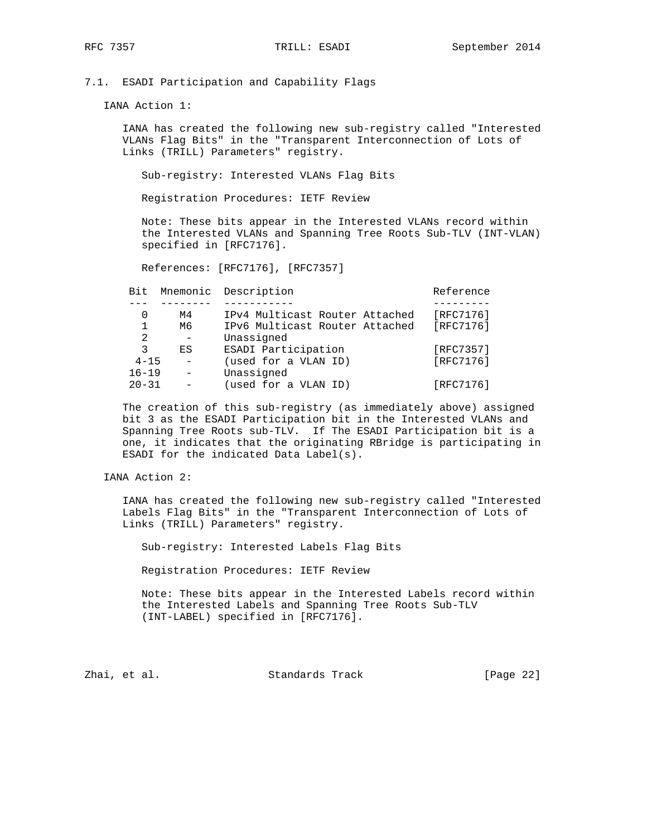7.1. ESADI Participation and Capability Flags

IANA Action 1:

 IANA has created the following new sub-registry called "Interested VLANs Flag Bits" in the "Transparent Interconnection of Lots of Links (TRILL) Parameters" registry.

Sub-registry: Interested VLANs Flag Bits

Registration Procedures: IETF Review

 Note: These bits appear in the Interested VLANs record within the Interested VLANs and Spanning Tree Roots Sub-TLV (INT-VLAN) specified in [RFC7176].

References: [RFC7176], [RFC7357]

| Bit          |    | Mnemonic Description           | Reference |
|--------------|----|--------------------------------|-----------|
|              |    |                                |           |
| 0            | M4 | IPv4 Multicast Router Attached | [RFC7176] |
| $\mathbf{1}$ | M6 | IPv6 Multicast Router Attached | [RFC7176] |
| 2            |    | Unassigned                     |           |
| 3            | ES | ESADI Participation            | [RFC7357] |
| $4 - 15$     |    | (used for a VLAN ID)           | [RFC7176] |
| $16 - 19$    |    | Unassigned                     |           |
| $20 - 31$    |    | (used for a VLAN ID)           | [RFC7176] |
|              |    |                                |           |

 The creation of this sub-registry (as immediately above) assigned bit 3 as the ESADI Participation bit in the Interested VLANs and Spanning Tree Roots sub-TLV. If The ESADI Participation bit is a one, it indicates that the originating RBridge is participating in ESADI for the indicated Data Label(s).

IANA Action 2:

 IANA has created the following new sub-registry called "Interested Labels Flag Bits" in the "Transparent Interconnection of Lots of Links (TRILL) Parameters" registry.

Sub-registry: Interested Labels Flag Bits

Registration Procedures: IETF Review

 Note: These bits appear in the Interested Labels record within the Interested Labels and Spanning Tree Roots Sub-TLV (INT-LABEL) specified in [RFC7176].

Zhai, et al. Standards Track [Page 22]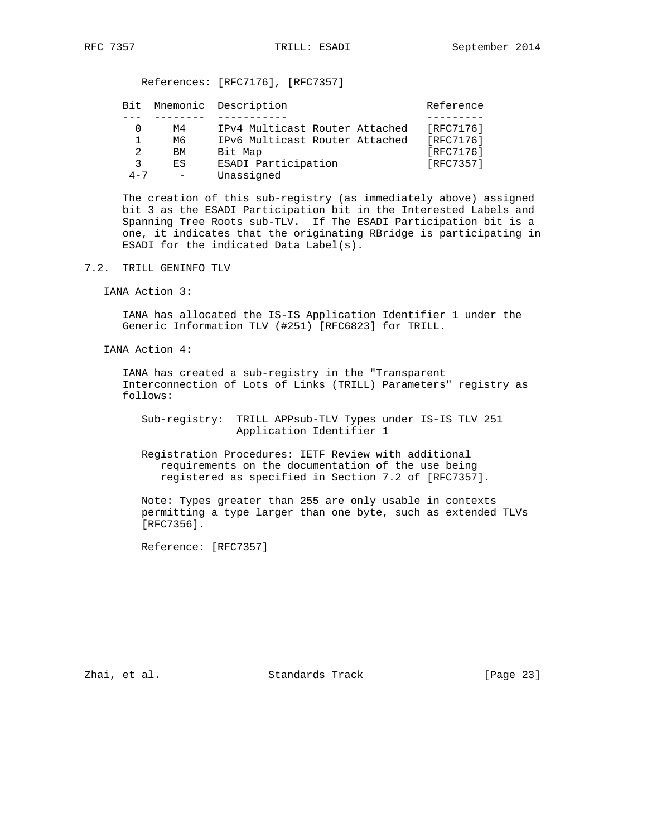| Bit     |    | Mnemonic Description           | Reference |
|---------|----|--------------------------------|-----------|
|         |    |                                |           |
|         | м4 | IPv4 Multicast Router Attached | [RFC7176] |
|         | M6 | IPv6 Multicast Router Attached | [RFC7176] |
| 2       | BM | Bit Map                        | [RFC7176] |
| २       | ES | ESADI Participation            | [RFC7357] |
| $4 - 7$ |    | Unassigned                     |           |

 The creation of this sub-registry (as immediately above) assigned bit 3 as the ESADI Participation bit in the Interested Labels and Spanning Tree Roots sub-TLV. If The ESADI Participation bit is a one, it indicates that the originating RBridge is participating in ESADI for the indicated Data Label(s).

- 7.2. TRILL GENINFO TLV
	- IANA Action 3:

 IANA has allocated the IS-IS Application Identifier 1 under the Generic Information TLV (#251) [RFC6823] for TRILL.

IANA Action 4:

 IANA has created a sub-registry in the "Transparent Interconnection of Lots of Links (TRILL) Parameters" registry as follows:

 Sub-registry: TRILL APPsub-TLV Types under IS-IS TLV 251 Application Identifier 1

 Registration Procedures: IETF Review with additional requirements on the documentation of the use being registered as specified in Section 7.2 of [RFC7357].

 Note: Types greater than 255 are only usable in contexts permitting a type larger than one byte, such as extended TLVs [RFC7356].

Reference: [RFC7357]

Zhai, et al. Standards Track [Page 23]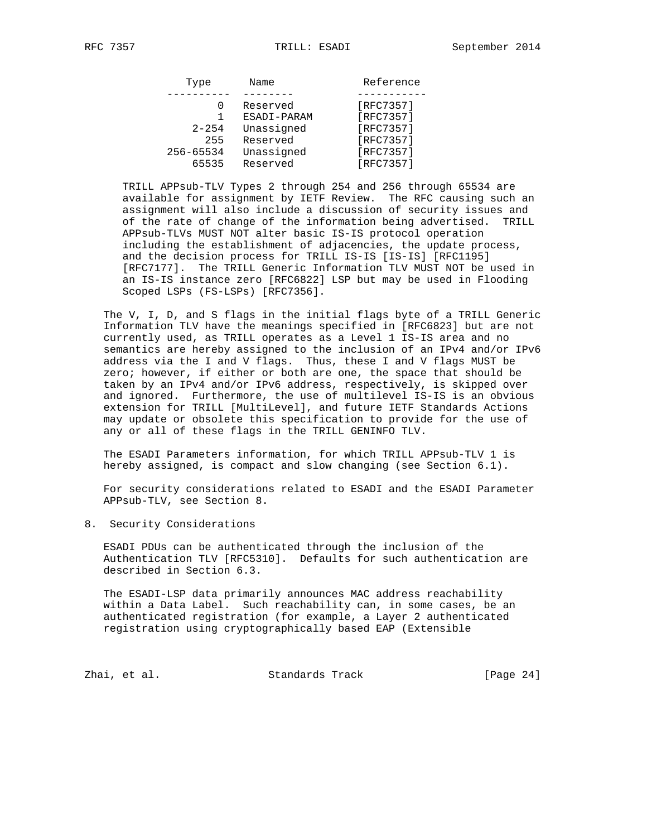| Type      | Name        | Reference |
|-----------|-------------|-----------|
|           |             |           |
|           | Reserved    | [RFC7357] |
|           | ESADI-PARAM | [RFC7357] |
| $2 - 254$ | Unassigned  | [RFC7357] |
| 255       | Reserved    | [RFC7357] |
| 256-65534 | Unassigned  | [RFC7357] |
| 65535     | Reserved    | [RFC7357] |

 TRILL APPsub-TLV Types 2 through 254 and 256 through 65534 are available for assignment by IETF Review. The RFC causing such an assignment will also include a discussion of security issues and of the rate of change of the information being advertised. TRILL APPsub-TLVs MUST NOT alter basic IS-IS protocol operation including the establishment of adjacencies, the update process, and the decision process for TRILL IS-IS [IS-IS] [RFC1195] [RFC7177]. The TRILL Generic Information TLV MUST NOT be used in an IS-IS instance zero [RFC6822] LSP but may be used in Flooding Scoped LSPs (FS-LSPs) [RFC7356].

 The V, I, D, and S flags in the initial flags byte of a TRILL Generic Information TLV have the meanings specified in [RFC6823] but are not currently used, as TRILL operates as a Level 1 IS-IS area and no semantics are hereby assigned to the inclusion of an IPv4 and/or IPv6 address via the I and V flags. Thus, these I and V flags MUST be zero; however, if either or both are one, the space that should be taken by an IPv4 and/or IPv6 address, respectively, is skipped over and ignored. Furthermore, the use of multilevel IS-IS is an obvious extension for TRILL [MultiLevel], and future IETF Standards Actions may update or obsolete this specification to provide for the use of any or all of these flags in the TRILL GENINFO TLV.

 The ESADI Parameters information, for which TRILL APPsub-TLV 1 is hereby assigned, is compact and slow changing (see Section 6.1).

 For security considerations related to ESADI and the ESADI Parameter APPsub-TLV, see Section 8.

8. Security Considerations

 ESADI PDUs can be authenticated through the inclusion of the Authentication TLV [RFC5310]. Defaults for such authentication are described in Section 6.3.

 The ESADI-LSP data primarily announces MAC address reachability within a Data Label. Such reachability can, in some cases, be an authenticated registration (for example, a Layer 2 authenticated registration using cryptographically based EAP (Extensible

Zhai, et al. Standards Track [Page 24]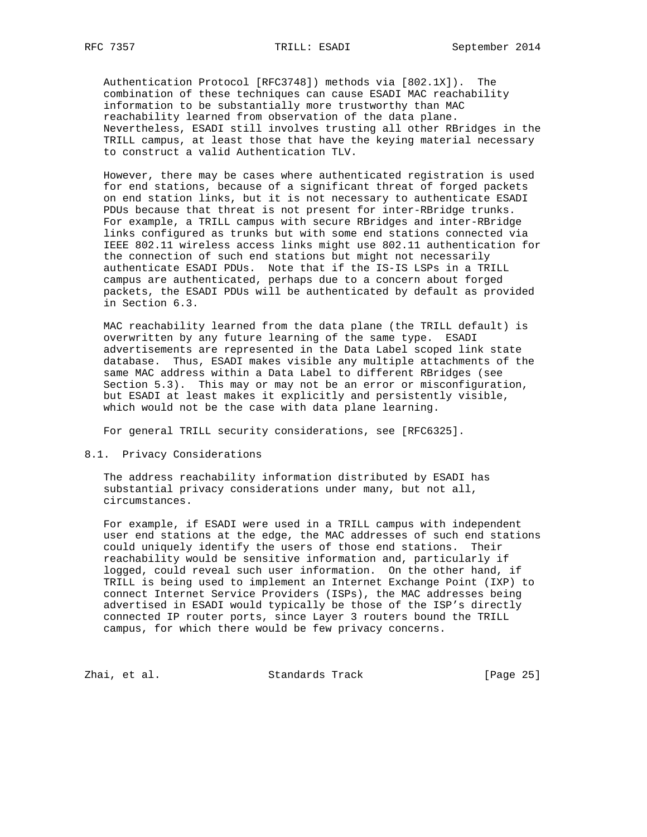Authentication Protocol [RFC3748]) methods via [802.1X]). The combination of these techniques can cause ESADI MAC reachability information to be substantially more trustworthy than MAC reachability learned from observation of the data plane. Nevertheless, ESADI still involves trusting all other RBridges in the TRILL campus, at least those that have the keying material necessary to construct a valid Authentication TLV.

 However, there may be cases where authenticated registration is used for end stations, because of a significant threat of forged packets on end station links, but it is not necessary to authenticate ESADI PDUs because that threat is not present for inter-RBridge trunks. For example, a TRILL campus with secure RBridges and inter-RBridge links configured as trunks but with some end stations connected via IEEE 802.11 wireless access links might use 802.11 authentication for the connection of such end stations but might not necessarily authenticate ESADI PDUs. Note that if the IS-IS LSPs in a TRILL campus are authenticated, perhaps due to a concern about forged packets, the ESADI PDUs will be authenticated by default as provided in Section 6.3.

 MAC reachability learned from the data plane (the TRILL default) is overwritten by any future learning of the same type. ESADI advertisements are represented in the Data Label scoped link state database. Thus, ESADI makes visible any multiple attachments of the same MAC address within a Data Label to different RBridges (see Section 5.3). This may or may not be an error or misconfiguration, but ESADI at least makes it explicitly and persistently visible, which would not be the case with data plane learning.

For general TRILL security considerations, see [RFC6325].

# 8.1. Privacy Considerations

 The address reachability information distributed by ESADI has substantial privacy considerations under many, but not all, circumstances.

 For example, if ESADI were used in a TRILL campus with independent user end stations at the edge, the MAC addresses of such end stations could uniquely identify the users of those end stations. Their reachability would be sensitive information and, particularly if logged, could reveal such user information. On the other hand, if TRILL is being used to implement an Internet Exchange Point (IXP) to connect Internet Service Providers (ISPs), the MAC addresses being advertised in ESADI would typically be those of the ISP's directly connected IP router ports, since Layer 3 routers bound the TRILL campus, for which there would be few privacy concerns.

Zhai, et al. Standards Track [Page 25]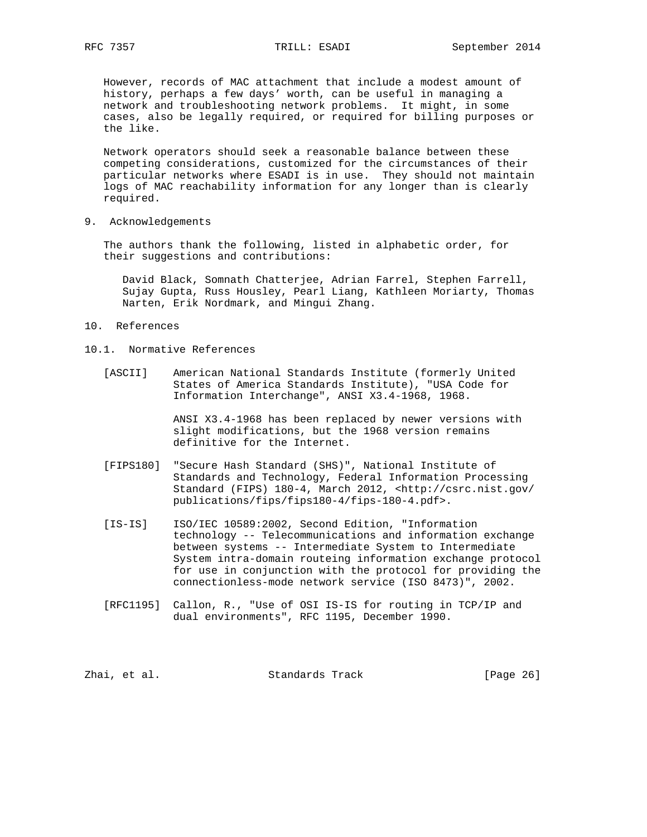However, records of MAC attachment that include a modest amount of history, perhaps a few days' worth, can be useful in managing a network and troubleshooting network problems. It might, in some cases, also be legally required, or required for billing purposes or the like.

 Network operators should seek a reasonable balance between these competing considerations, customized for the circumstances of their particular networks where ESADI is in use. They should not maintain logs of MAC reachability information for any longer than is clearly required.

9. Acknowledgements

 The authors thank the following, listed in alphabetic order, for their suggestions and contributions:

 David Black, Somnath Chatterjee, Adrian Farrel, Stephen Farrell, Sujay Gupta, Russ Housley, Pearl Liang, Kathleen Moriarty, Thomas Narten, Erik Nordmark, and Mingui Zhang.

- 10. References
- 10.1. Normative References
	- [ASCII] American National Standards Institute (formerly United States of America Standards Institute), "USA Code for Information Interchange", ANSI X3.4-1968, 1968.

 ANSI X3.4-1968 has been replaced by newer versions with slight modifications, but the 1968 version remains definitive for the Internet.

- [FIPS180] "Secure Hash Standard (SHS)", National Institute of Standards and Technology, Federal Information Processing Standard (FIPS) 180-4, March 2012, <http://csrc.nist.gov/ publications/fips/fips180-4/fips-180-4.pdf>.
- [IS-IS] ISO/IEC 10589:2002, Second Edition, "Information technology -- Telecommunications and information exchange between systems -- Intermediate System to Intermediate System intra-domain routeing information exchange protocol for use in conjunction with the protocol for providing the connectionless-mode network service (ISO 8473)", 2002.
- [RFC1195] Callon, R., "Use of OSI IS-IS for routing in TCP/IP and dual environments", RFC 1195, December 1990.

Zhai, et al. Standards Track [Page 26]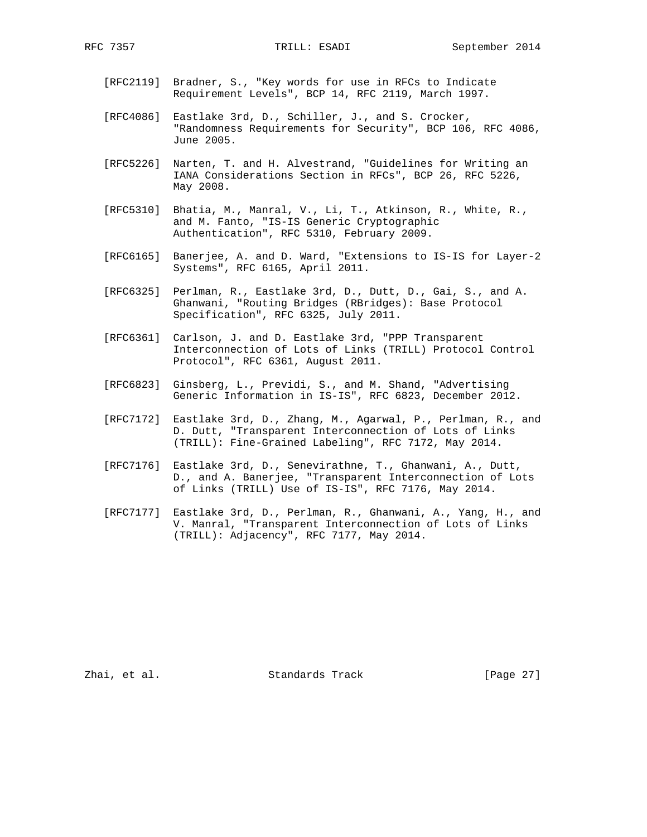- [RFC2119] Bradner, S., "Key words for use in RFCs to Indicate Requirement Levels", BCP 14, RFC 2119, March 1997.
- [RFC4086] Eastlake 3rd, D., Schiller, J., and S. Crocker, "Randomness Requirements for Security", BCP 106, RFC 4086, June 2005.
- [RFC5226] Narten, T. and H. Alvestrand, "Guidelines for Writing an IANA Considerations Section in RFCs", BCP 26, RFC 5226, May 2008.
- [RFC5310] Bhatia, M., Manral, V., Li, T., Atkinson, R., White, R., and M. Fanto, "IS-IS Generic Cryptographic Authentication", RFC 5310, February 2009.
- [RFC6165] Banerjee, A. and D. Ward, "Extensions to IS-IS for Layer-2 Systems", RFC 6165, April 2011.
- [RFC6325] Perlman, R., Eastlake 3rd, D., Dutt, D., Gai, S., and A. Ghanwani, "Routing Bridges (RBridges): Base Protocol Specification", RFC 6325, July 2011.
- [RFC6361] Carlson, J. and D. Eastlake 3rd, "PPP Transparent Interconnection of Lots of Links (TRILL) Protocol Control Protocol", RFC 6361, August 2011.
- [RFC6823] Ginsberg, L., Previdi, S., and M. Shand, "Advertising Generic Information in IS-IS", RFC 6823, December 2012.
- [RFC7172] Eastlake 3rd, D., Zhang, M., Agarwal, P., Perlman, R., and D. Dutt, "Transparent Interconnection of Lots of Links (TRILL): Fine-Grained Labeling", RFC 7172, May 2014.
- [RFC7176] Eastlake 3rd, D., Senevirathne, T., Ghanwani, A., Dutt, D., and A. Banerjee, "Transparent Interconnection of Lots of Links (TRILL) Use of IS-IS", RFC 7176, May 2014.
- [RFC7177] Eastlake 3rd, D., Perlman, R., Ghanwani, A., Yang, H., and V. Manral, "Transparent Interconnection of Lots of Links (TRILL): Adjacency", RFC 7177, May 2014.

Zhai, et al. Standards Track [Page 27]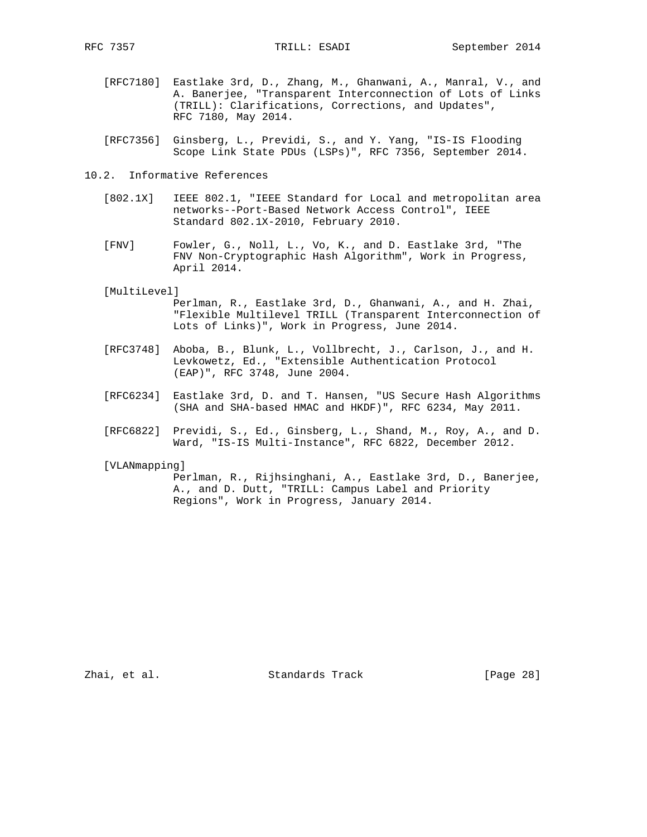- [RFC7180] Eastlake 3rd, D., Zhang, M., Ghanwani, A., Manral, V., and A. Banerjee, "Transparent Interconnection of Lots of Links (TRILL): Clarifications, Corrections, and Updates", RFC 7180, May 2014.
- [RFC7356] Ginsberg, L., Previdi, S., and Y. Yang, "IS-IS Flooding Scope Link State PDUs (LSPs)", RFC 7356, September 2014.
- 10.2. Informative References
	- [802.1X] IEEE 802.1, "IEEE Standard for Local and metropolitan area networks--Port-Based Network Access Control", IEEE Standard 802.1X-2010, February 2010.
	- [FNV] Fowler, G., Noll, L., Vo, K., and D. Eastlake 3rd, "The FNV Non-Cryptographic Hash Algorithm", Work in Progress, April 2014.

#### [MultiLevel]

 Perlman, R., Eastlake 3rd, D., Ghanwani, A., and H. Zhai, "Flexible Multilevel TRILL (Transparent Interconnection of Lots of Links)", Work in Progress, June 2014.

- [RFC3748] Aboba, B., Blunk, L., Vollbrecht, J., Carlson, J., and H. Levkowetz, Ed., "Extensible Authentication Protocol (EAP)", RFC 3748, June 2004.
- [RFC6234] Eastlake 3rd, D. and T. Hansen, "US Secure Hash Algorithms (SHA and SHA-based HMAC and HKDF)", RFC 6234, May 2011.
- [RFC6822] Previdi, S., Ed., Ginsberg, L., Shand, M., Roy, A., and D. Ward, "IS-IS Multi-Instance", RFC 6822, December 2012.

### [VLANmapping]

 Perlman, R., Rijhsinghani, A., Eastlake 3rd, D., Banerjee, A., and D. Dutt, "TRILL: Campus Label and Priority Regions", Work in Progress, January 2014.

Zhai, et al. Standards Track [Page 28]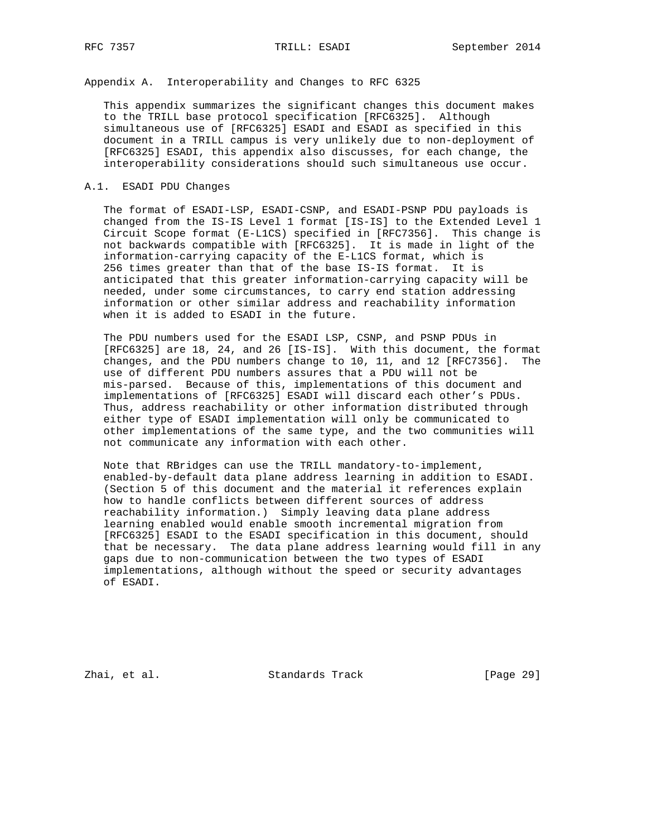Appendix A. Interoperability and Changes to RFC 6325

 This appendix summarizes the significant changes this document makes to the TRILL base protocol specification [RFC6325]. Although simultaneous use of [RFC6325] ESADI and ESADI as specified in this document in a TRILL campus is very unlikely due to non-deployment of [RFC6325] ESADI, this appendix also discusses, for each change, the interoperability considerations should such simultaneous use occur.

## A.1. ESADI PDU Changes

 The format of ESADI-LSP, ESADI-CSNP, and ESADI-PSNP PDU payloads is changed from the IS-IS Level 1 format [IS-IS] to the Extended Level 1 Circuit Scope format (E-L1CS) specified in [RFC7356]. This change is not backwards compatible with [RFC6325]. It is made in light of the information-carrying capacity of the E-L1CS format, which is 256 times greater than that of the base IS-IS format. It is anticipated that this greater information-carrying capacity will be needed, under some circumstances, to carry end station addressing information or other similar address and reachability information when it is added to ESADI in the future.

 The PDU numbers used for the ESADI LSP, CSNP, and PSNP PDUs in [RFC6325] are 18, 24, and 26 [IS-IS]. With this document, the format changes, and the PDU numbers change to 10, 11, and 12 [RFC7356]. The use of different PDU numbers assures that a PDU will not be mis-parsed. Because of this, implementations of this document and implementations of [RFC6325] ESADI will discard each other's PDUs. Thus, address reachability or other information distributed through either type of ESADI implementation will only be communicated to other implementations of the same type, and the two communities will not communicate any information with each other.

 Note that RBridges can use the TRILL mandatory-to-implement, enabled-by-default data plane address learning in addition to ESADI. (Section 5 of this document and the material it references explain how to handle conflicts between different sources of address reachability information.) Simply leaving data plane address learning enabled would enable smooth incremental migration from [RFC6325] ESADI to the ESADI specification in this document, should that be necessary. The data plane address learning would fill in any gaps due to non-communication between the two types of ESADI implementations, although without the speed or security advantages of ESADI.

Zhai, et al. Standards Track [Page 29]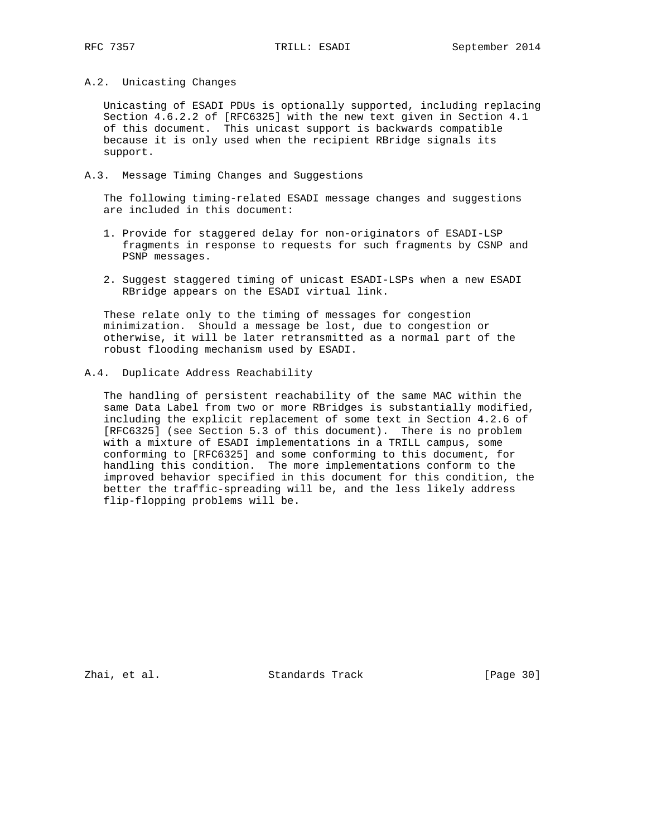## A.2. Unicasting Changes

 Unicasting of ESADI PDUs is optionally supported, including replacing Section 4.6.2.2 of [RFC6325] with the new text given in Section 4.1 of this document. This unicast support is backwards compatible because it is only used when the recipient RBridge signals its support.

# A.3. Message Timing Changes and Suggestions

 The following timing-related ESADI message changes and suggestions are included in this document:

- 1. Provide for staggered delay for non-originators of ESADI-LSP fragments in response to requests for such fragments by CSNP and PSNP messages.
- 2. Suggest staggered timing of unicast ESADI-LSPs when a new ESADI RBridge appears on the ESADI virtual link.

 These relate only to the timing of messages for congestion minimization. Should a message be lost, due to congestion or otherwise, it will be later retransmitted as a normal part of the robust flooding mechanism used by ESADI.

#### A.4. Duplicate Address Reachability

 The handling of persistent reachability of the same MAC within the same Data Label from two or more RBridges is substantially modified, including the explicit replacement of some text in Section 4.2.6 of [RFC6325] (see Section 5.3 of this document). There is no problem with a mixture of ESADI implementations in a TRILL campus, some conforming to [RFC6325] and some conforming to this document, for handling this condition. The more implementations conform to the improved behavior specified in this document for this condition, the better the traffic-spreading will be, and the less likely address flip-flopping problems will be.

Zhai, et al. Standards Track [Page 30]